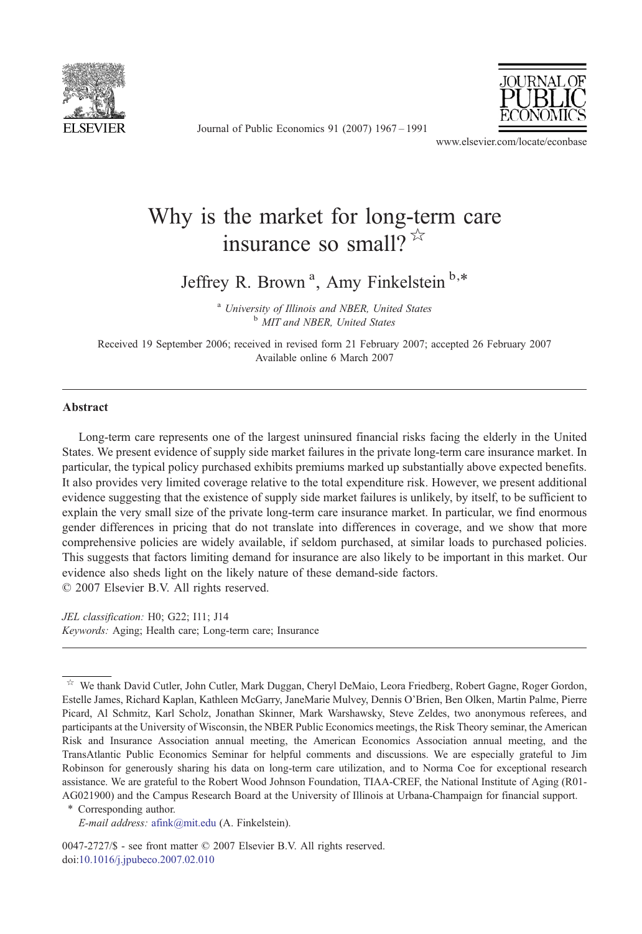

Journal of Public Economics 91 (2007) 1967–1991



www.elsevier.com/locate/econbase

# Why is the market for long-term care insurance so small? ☆

Jeffrey R. Brown<sup>a</sup>, Amy Finkelstein<sup>b,\*</sup>

<sup>a</sup> University of Illinois and NBER, United States b MIT and NBER, United States

Received 19 September 2006; received in revised form 21 February 2007; accepted 26 February 2007 Available online 6 March 2007

### Abstract

Long-term care represents one of the largest uninsured financial risks facing the elderly in the United States. We present evidence of supply side market failures in the private long-term care insurance market. In particular, the typical policy purchased exhibits premiums marked up substantially above expected benefits. It also provides very limited coverage relative to the total expenditure risk. However, we present additional evidence suggesting that the existence of supply side market failures is unlikely, by itself, to be sufficient to explain the very small size of the private long-term care insurance market. In particular, we find enormous gender differences in pricing that do not translate into differences in coverage, and we show that more comprehensive policies are widely available, if seldom purchased, at similar loads to purchased policies. This suggests that factors limiting demand for insurance are also likely to be important in this market. Our evidence also sheds light on the likely nature of these demand-side factors. © 2007 Elsevier B.V. All rights reserved.

JEL classification: H0; G22; I11; J14 Keywords: Aging; Health care; Long-term care; Insurance

⁎ Corresponding author.

0047-2727/\$ - see front matter © 2007 Elsevier B.V. All rights reserved. doi:[10.1016/j.jpubeco.2007.02.010](http://dx.doi.org/10.1016/j.jpubeco.2007.02.010)

<sup>☆</sup> We thank David Cutler, John Cutler, Mark Duggan, Cheryl DeMaio, Leora Friedberg, Robert Gagne, Roger Gordon, Estelle James, Richard Kaplan, Kathleen McGarry, JaneMarie Mulvey, Dennis O'Brien, Ben Olken, Martin Palme, Pierre Picard, Al Schmitz, Karl Scholz, Jonathan Skinner, Mark Warshawsky, Steve Zeldes, two anonymous referees, and participants at the University of Wisconsin, the NBER Public Economics meetings, the Risk Theory seminar, the American Risk and Insurance Association annual meeting, the American Economics Association annual meeting, and the TransAtlantic Public Economics Seminar for helpful comments and discussions. We are especially grateful to Jim Robinson for generously sharing his data on long-term care utilization, and to Norma Coe for exceptional research assistance. We are grateful to the Robert Wood Johnson Foundation, TIAA-CREF, the National Institute of Aging (R01- AG021900) and the Campus Research Board at the University of Illinois at Urbana-Champaign for financial support.

E-mail address: [afink@mit.edu](mailto:afink@mit.edu) (A. Finkelstein).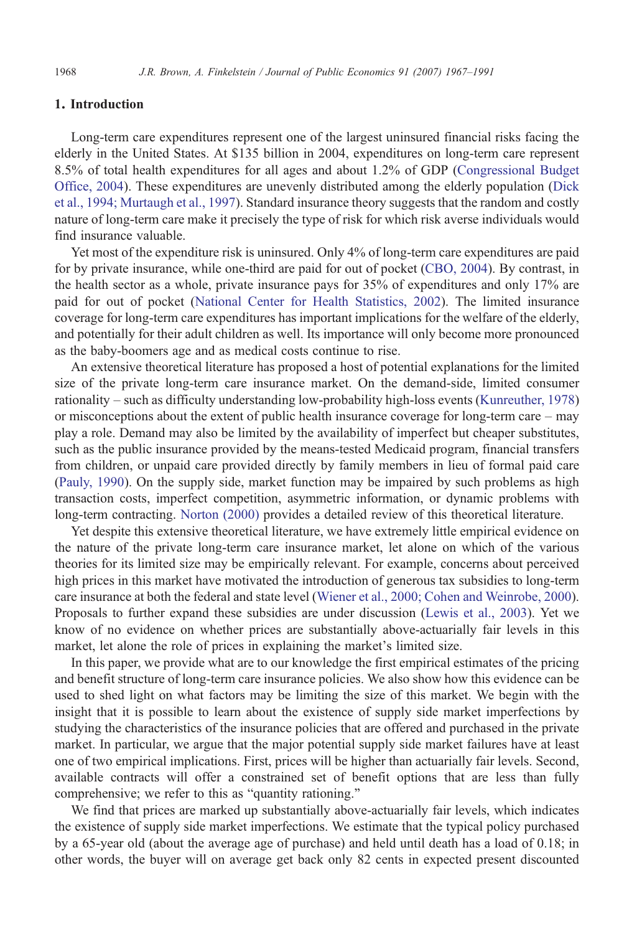### 1. Introduction

Long-term care expenditures represent one of the largest uninsured financial risks facing the elderly in the United States. At \$135 billion in 2004, expenditures on long-term care represent 8.5% of total health expenditures for all ages and about 1.2% of GDP [\(Congressional Budget](#page-23-0) [Office, 2004](#page-23-0)). These expenditures are unevenly distributed among the elderly population [\(Dick](#page-23-0) [et al., 1994; Murtaugh et al., 1997\)](#page-23-0). Standard insurance theory suggests that the random and costly nature of long-term care make it precisely the type of risk for which risk averse individuals would find insurance valuable.

Yet most of the expenditure risk is uninsured. Only 4% of long-term care expenditures are paid for by private insurance, while one-third are paid for out of pocket ([CBO, 2004\)](#page-23-0). By contrast, in the health sector as a whole, private insurance pays for 35% of expenditures and only 17% are paid for out of pocket [\(National Center for Health Statistics, 2002\)](#page-24-0). The limited insurance coverage for long-term care expenditures has important implications for the welfare of the elderly, and potentially for their adult children as well. Its importance will only become more pronounced as the baby-boomers age and as medical costs continue to rise.

An extensive theoretical literature has proposed a host of potential explanations for the limited size of the private long-term care insurance market. On the demand-side, limited consumer rationality – such as difficulty understanding low-probability high-loss events ([Kunreuther, 1978](#page-23-0)) or misconceptions about the extent of public health insurance coverage for long-term care – may play a role. Demand may also be limited by the availability of imperfect but cheaper substitutes, such as the public insurance provided by the means-tested Medicaid program, financial transfers from children, or unpaid care provided directly by family members in lieu of formal paid care [\(Pauly, 1990\)](#page-24-0). On the supply side, market function may be impaired by such problems as high transaction costs, imperfect competition, asymmetric information, or dynamic problems with long-term contracting. [Norton \(2000\)](#page-24-0) provides a detailed review of this theoretical literature.

Yet despite this extensive theoretical literature, we have extremely little empirical evidence on the nature of the private long-term care insurance market, let alone on which of the various theories for its limited size may be empirically relevant. For example, concerns about perceived high prices in this market have motivated the introduction of generous tax subsidies to long-term care insurance at both the federal and state level ([Wiener et al., 2000; Cohen and Weinrobe, 2000\)](#page-24-0). Proposals to further expand these subsidies are under discussion [\(Lewis et al., 2003](#page-23-0)). Yet we know of no evidence on whether prices are substantially above-actuarially fair levels in this market, let alone the role of prices in explaining the market's limited size.

In this paper, we provide what are to our knowledge the first empirical estimates of the pricing and benefit structure of long-term care insurance policies. We also show how this evidence can be used to shed light on what factors may be limiting the size of this market. We begin with the insight that it is possible to learn about the existence of supply side market imperfections by studying the characteristics of the insurance policies that are offered and purchased in the private market. In particular, we argue that the major potential supply side market failures have at least one of two empirical implications. First, prices will be higher than actuarially fair levels. Second, available contracts will offer a constrained set of benefit options that are less than fully comprehensive; we refer to this as "quantity rationing."

We find that prices are marked up substantially above-actuarially fair levels, which indicates the existence of supply side market imperfections. We estimate that the typical policy purchased by a 65-year old (about the average age of purchase) and held until death has a load of 0.18; in other words, the buyer will on average get back only 82 cents in expected present discounted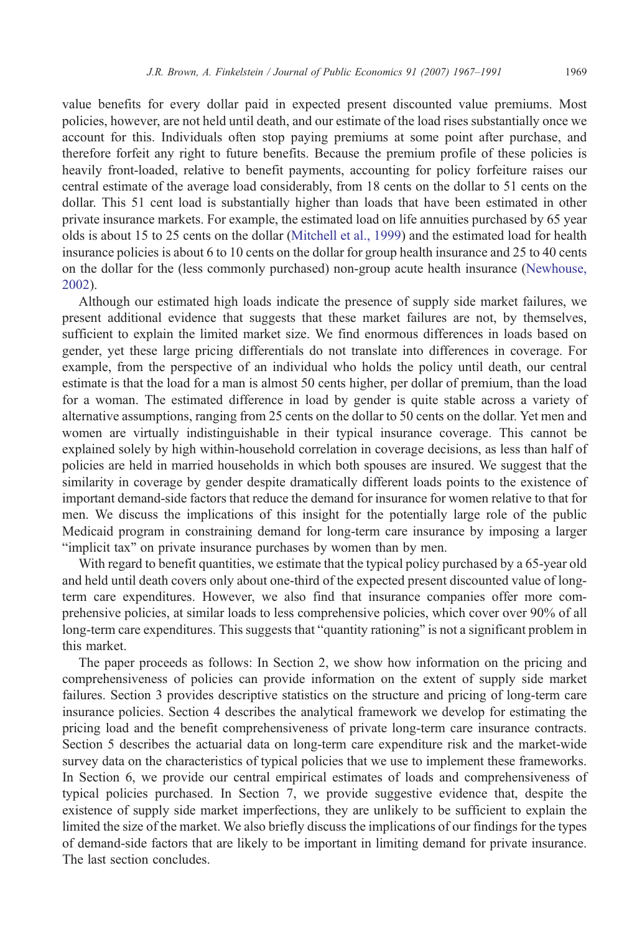value benefits for every dollar paid in expected present discounted value premiums. Most policies, however, are not held until death, and our estimate of the load rises substantially once we account for this. Individuals often stop paying premiums at some point after purchase, and therefore forfeit any right to future benefits. Because the premium profile of these policies is heavily front-loaded, relative to benefit payments, accounting for policy forfeiture raises our central estimate of the average load considerably, from 18 cents on the dollar to 51 cents on the dollar. This 51 cent load is substantially higher than loads that have been estimated in other private insurance markets. For example, the estimated load on life annuities purchased by 65 year olds is about 15 to 25 cents on the dollar [\(Mitchell et al., 1999\)](#page-24-0) and the estimated load for health insurance policies is about 6 to 10 cents on the dollar for group health insurance and 25 to 40 cents on the dollar for the (less commonly purchased) non-group acute health insurance ([Newhouse,](#page-24-0) [2002](#page-24-0)).

Although our estimated high loads indicate the presence of supply side market failures, we present additional evidence that suggests that these market failures are not, by themselves, sufficient to explain the limited market size. We find enormous differences in loads based on gender, yet these large pricing differentials do not translate into differences in coverage. For example, from the perspective of an individual who holds the policy until death, our central estimate is that the load for a man is almost 50 cents higher, per dollar of premium, than the load for a woman. The estimated difference in load by gender is quite stable across a variety of alternative assumptions, ranging from 25 cents on the dollar to 50 cents on the dollar. Yet men and women are virtually indistinguishable in their typical insurance coverage. This cannot be explained solely by high within-household correlation in coverage decisions, as less than half of policies are held in married households in which both spouses are insured. We suggest that the similarity in coverage by gender despite dramatically different loads points to the existence of important demand-side factors that reduce the demand for insurance for women relative to that for men. We discuss the implications of this insight for the potentially large role of the public Medicaid program in constraining demand for long-term care insurance by imposing a larger "implicit tax" on private insurance purchases by women than by men.

With regard to benefit quantities, we estimate that the typical policy purchased by a 65-year old and held until death covers only about one-third of the expected present discounted value of longterm care expenditures. However, we also find that insurance companies offer more comprehensive policies, at similar loads to less comprehensive policies, which cover over 90% of all long-term care expenditures. This suggests that "quantity rationing" is not a significant problem in this market.

The paper proceeds as follows: In Section 2, we show how information on the pricing and comprehensiveness of policies can provide information on the extent of supply side market failures. Section 3 provides descriptive statistics on the structure and pricing of long-term care insurance policies. Section 4 describes the analytical framework we develop for estimating the pricing load and the benefit comprehensiveness of private long-term care insurance contracts. Section 5 describes the actuarial data on long-term care expenditure risk and the market-wide survey data on the characteristics of typical policies that we use to implement these frameworks. In Section 6, we provide our central empirical estimates of loads and comprehensiveness of typical policies purchased. In Section 7, we provide suggestive evidence that, despite the existence of supply side market imperfections, they are unlikely to be sufficient to explain the limited the size of the market. We also briefly discuss the implications of our findings for the types of demand-side factors that are likely to be important in limiting demand for private insurance. The last section concludes.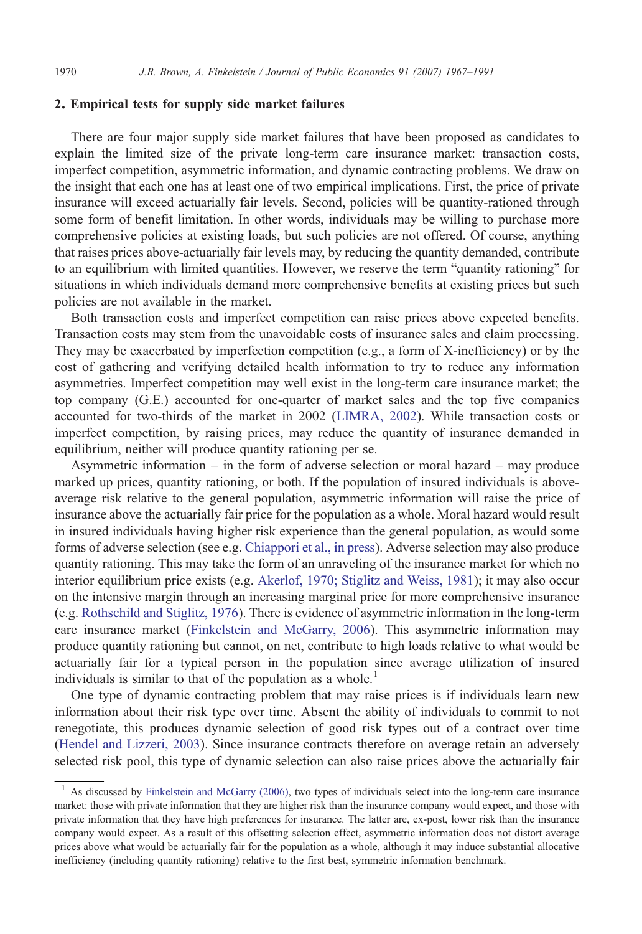### 2. Empirical tests for supply side market failures

There are four major supply side market failures that have been proposed as candidates to explain the limited size of the private long-term care insurance market: transaction costs, imperfect competition, asymmetric information, and dynamic contracting problems. We draw on the insight that each one has at least one of two empirical implications. First, the price of private insurance will exceed actuarially fair levels. Second, policies will be quantity-rationed through some form of benefit limitation. In other words, individuals may be willing to purchase more comprehensive policies at existing loads, but such policies are not offered. Of course, anything that raises prices above-actuarially fair levels may, by reducing the quantity demanded, contribute to an equilibrium with limited quantities. However, we reserve the term "quantity rationing" for situations in which individuals demand more comprehensive benefits at existing prices but such policies are not available in the market.

Both transaction costs and imperfect competition can raise prices above expected benefits. Transaction costs may stem from the unavoidable costs of insurance sales and claim processing. They may be exacerbated by imperfection competition (e.g., a form of X-inefficiency) or by the cost of gathering and verifying detailed health information to try to reduce any information asymmetries. Imperfect competition may well exist in the long-term care insurance market; the top company (G.E.) accounted for one-quarter of market sales and the top five companies accounted for two-thirds of the market in 2002 [\(LIMRA, 2002\)](#page-23-0). While transaction costs or imperfect competition, by raising prices, may reduce the quantity of insurance demanded in equilibrium, neither will produce quantity rationing per se.

Asymmetric information – in the form of adverse selection or moral hazard – may produce marked up prices, quantity rationing, or both. If the population of insured individuals is aboveaverage risk relative to the general population, asymmetric information will raise the price of insurance above the actuarially fair price for the population as a whole. Moral hazard would result in insured individuals having higher risk experience than the general population, as would some forms of adverse selection (see e.g. [Chiappori et al., in press\)](#page-23-0). Adverse selection may also produce quantity rationing. This may take the form of an unraveling of the insurance market for which no interior equilibrium price exists (e.g. [Akerlof, 1970; Stiglitz and Weiss, 1981](#page-22-0)); it may also occur on the intensive margin through an increasing marginal price for more comprehensive insurance (e.g. [Rothschild and Stiglitz, 1976\)](#page-24-0). There is evidence of asymmetric information in the long-term care insurance market [\(Finkelstein and McGarry, 2006](#page-23-0)). This asymmetric information may produce quantity rationing but cannot, on net, contribute to high loads relative to what would be actuarially fair for a typical person in the population since average utilization of insured individuals is similar to that of the population as a whole.<sup>1</sup>

One type of dynamic contracting problem that may raise prices is if individuals learn new information about their risk type over time. Absent the ability of individuals to commit to not renegotiate, this produces dynamic selection of good risk types out of a contract over time [\(Hendel and Lizzeri, 2003](#page-23-0)). Since insurance contracts therefore on average retain an adversely selected risk pool, this type of dynamic selection can also raise prices above the actuarially fair

<sup>&</sup>lt;sup>1</sup> As discussed by [Finkelstein and McGarry \(2006\)](#page-23-0), two types of individuals select into the long-term care insurance market: those with private information that they are higher risk than the insurance company would expect, and those with private information that they have high preferences for insurance. The latter are, ex-post, lower risk than the insurance company would expect. As a result of this offsetting selection effect, asymmetric information does not distort average prices above what would be actuarially fair for the population as a whole, although it may induce substantial allocative inefficiency (including quantity rationing) relative to the first best, symmetric information benchmark.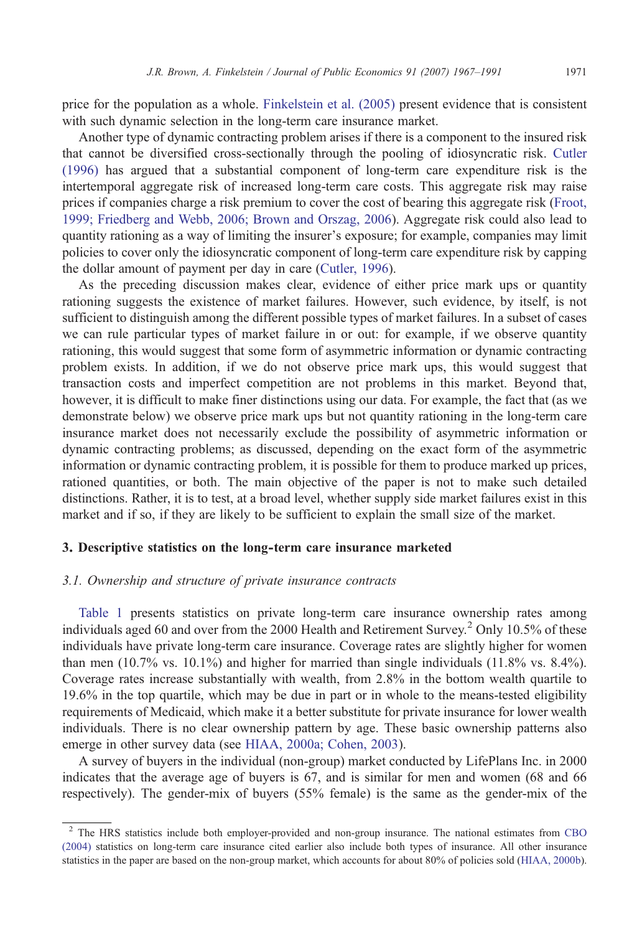price for the population as a whole. [Finkelstein et al. \(2005\)](#page-23-0) present evidence that is consistent with such dynamic selection in the long-term care insurance market.

Another type of dynamic contracting problem arises if there is a component to the insured risk that cannot be diversified cross-sectionally through the pooling of idiosyncratic risk. [Cutler](#page-23-0) [\(1996\)](#page-23-0) has argued that a substantial component of long-term care expenditure risk is the intertemporal aggregate risk of increased long-term care costs. This aggregate risk may raise prices if companies charge a risk premium to cover the cost of bearing this aggregate risk ([Froot,](#page-23-0) [1999; Friedberg and Webb, 2006; Brown and Orszag, 2006\)](#page-23-0). Aggregate risk could also lead to quantity rationing as a way of limiting the insurer's exposure; for example, companies may limit policies to cover only the idiosyncratic component of long-term care expenditure risk by capping the dollar amount of payment per day in care ([Cutler, 1996](#page-23-0)).

As the preceding discussion makes clear, evidence of either price mark ups or quantity rationing suggests the existence of market failures. However, such evidence, by itself, is not sufficient to distinguish among the different possible types of market failures. In a subset of cases we can rule particular types of market failure in or out: for example, if we observe quantity rationing, this would suggest that some form of asymmetric information or dynamic contracting problem exists. In addition, if we do not observe price mark ups, this would suggest that transaction costs and imperfect competition are not problems in this market. Beyond that, however, it is difficult to make finer distinctions using our data. For example, the fact that (as we demonstrate below) we observe price mark ups but not quantity rationing in the long-term care insurance market does not necessarily exclude the possibility of asymmetric information or dynamic contracting problems; as discussed, depending on the exact form of the asymmetric information or dynamic contracting problem, it is possible for them to produce marked up prices, rationed quantities, or both. The main objective of the paper is not to make such detailed distinctions. Rather, it is to test, at a broad level, whether supply side market failures exist in this market and if so, if they are likely to be sufficient to explain the small size of the market.

### 3. Descriptive statistics on the long-term care insurance marketed

### 3.1. Ownership and structure of private insurance contracts

[Table 1](#page-5-0) presents statistics on private long-term care insurance ownership rates among individuals aged 60 and over from the 2000 Health and Retirement Survey.<sup>2</sup> Only 10.5% of these individuals have private long-term care insurance. Coverage rates are slightly higher for women than men  $(10.7\% \text{ vs. } 10.1\%)$  and higher for married than single individuals  $(11.8\% \text{ vs. } 8.4\%)$ . Coverage rates increase substantially with wealth, from 2.8% in the bottom wealth quartile to 19.6% in the top quartile, which may be due in part or in whole to the means-tested eligibility requirements of Medicaid, which make it a better substitute for private insurance for lower wealth individuals. There is no clear ownership pattern by age. These basic ownership patterns also emerge in other survey data (see [HIAA, 2000a; Cohen, 2003](#page-23-0)).

A survey of buyers in the individual (non-group) market conducted by LifePlans Inc. in 2000 indicates that the average age of buyers is 67, and is similar for men and women (68 and 66 respectively). The gender-mix of buyers (55% female) is the same as the gender-mix of the

<sup>&</sup>lt;sup>2</sup> The HRS statistics include both employer-provided and non-group insurance. The national estimates from [CBO](#page-23-0) [\(2004\)](#page-23-0) statistics on long-term care insurance cited earlier also include both types of insurance. All other insurance statistics in the paper are based on the non-group market, which accounts for about 80% of policies sold ([HIAA, 2000b](#page-23-0)).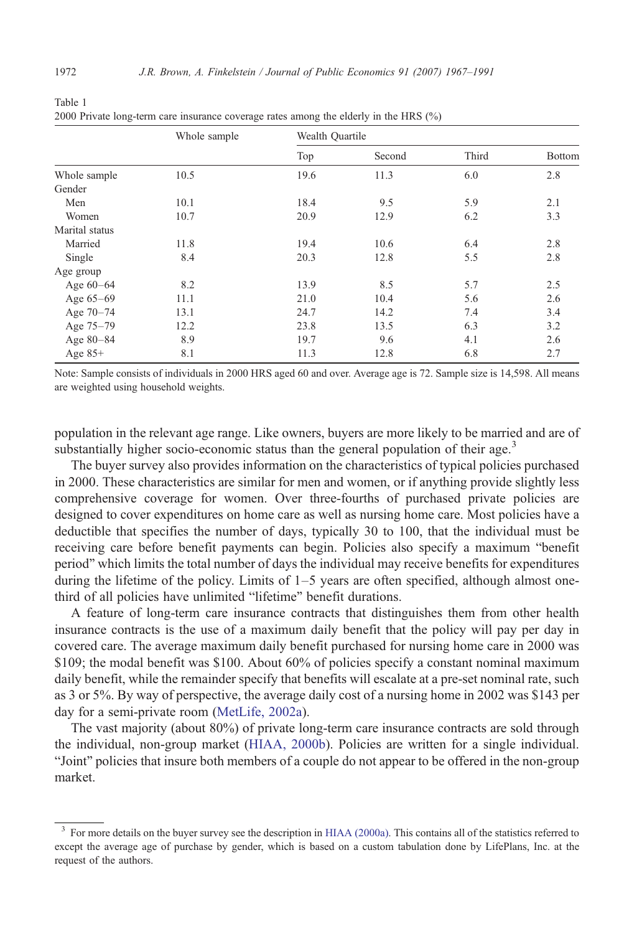|                | Whole sample | Wealth Ouartile |        |       |               |  |  |  |
|----------------|--------------|-----------------|--------|-------|---------------|--|--|--|
|                |              | Top             | Second | Third | <b>Bottom</b> |  |  |  |
| Whole sample   | 10.5         | 19.6            | 11.3   | 6.0   | 2.8           |  |  |  |
| Gender         |              |                 |        |       |               |  |  |  |
| Men            | 10.1         | 18.4            | 9.5    | 5.9   | 2.1           |  |  |  |
| Women          | 10.7         | 20.9            | 12.9   | 6.2   | 3.3           |  |  |  |
| Marital status |              |                 |        |       |               |  |  |  |
| Married        | 11.8         | 19.4            | 10.6   | 6.4   | 2.8           |  |  |  |
| Single         | 8.4          | 20.3            | 12.8   | 5.5   | 2.8           |  |  |  |
| Age group      |              |                 |        |       |               |  |  |  |
| Age $60 - 64$  | 8.2          | 13.9            | 8.5    | 5.7   | 2.5           |  |  |  |
| Age 65-69      | 11.1         | 21.0            | 10.4   | 5.6   | 2.6           |  |  |  |
| Age $70 - 74$  | 13.1         | 24.7            | 14.2   | 7.4   | 3.4           |  |  |  |
| Age 75-79      | 12.2         | 23.8            | 13.5   | 6.3   | 3.2           |  |  |  |
| Age 80-84      | 8.9          | 19.7            | 9.6    | 4.1   | 2.6           |  |  |  |
| Age $85+$      | 8.1          | 11.3            | 12.8   | 6.8   | 2.7           |  |  |  |

<span id="page-5-0"></span>

| Table 1                                                                                  |  |
|------------------------------------------------------------------------------------------|--|
| 2000 Private long-term care insurance coverage rates among the elderly in the HRS $(\%)$ |  |

Note: Sample consists of individuals in 2000 HRS aged 60 and over. Average age is 72. Sample size is 14,598. All means are weighted using household weights.

population in the relevant age range. Like owners, buyers are more likely to be married and are of substantially higher socio-economic status than the general population of their age.<sup>3</sup>

The buyer survey also provides information on the characteristics of typical policies purchased in 2000. These characteristics are similar for men and women, or if anything provide slightly less comprehensive coverage for women. Over three-fourths of purchased private policies are designed to cover expenditures on home care as well as nursing home care. Most policies have a deductible that specifies the number of days, typically 30 to 100, that the individual must be receiving care before benefit payments can begin. Policies also specify a maximum "benefit period" which limits the total number of days the individual may receive benefits for expenditures during the lifetime of the policy. Limits of 1–5 years are often specified, although almost onethird of all policies have unlimited "lifetime" benefit durations.

A feature of long-term care insurance contracts that distinguishes them from other health insurance contracts is the use of a maximum daily benefit that the policy will pay per day in covered care. The average maximum daily benefit purchased for nursing home care in 2000 was \$109; the modal benefit was \$100. About 60% of policies specify a constant nominal maximum daily benefit, while the remainder specify that benefits will escalate at a pre-set nominal rate, such as 3 or 5%. By way of perspective, the average daily cost of a nursing home in 2002 was \$143 per day for a semi-private room [\(MetLife, 2002a](#page-24-0)).

The vast majority (about 80%) of private long-term care insurance contracts are sold through the individual, non-group market [\(HIAA, 2000b](#page-23-0)). Policies are written for a single individual. "Joint" policies that insure both members of a couple do not appear to be offered in the non-group market.

<sup>&</sup>lt;sup>3</sup> For more details on the buyer survey see the description in [HIAA \(2000a\)](#page-23-0). This contains all of the statistics referred to except the average age of purchase by gender, which is based on a custom tabulation done by LifePlans, Inc. at the request of the authors.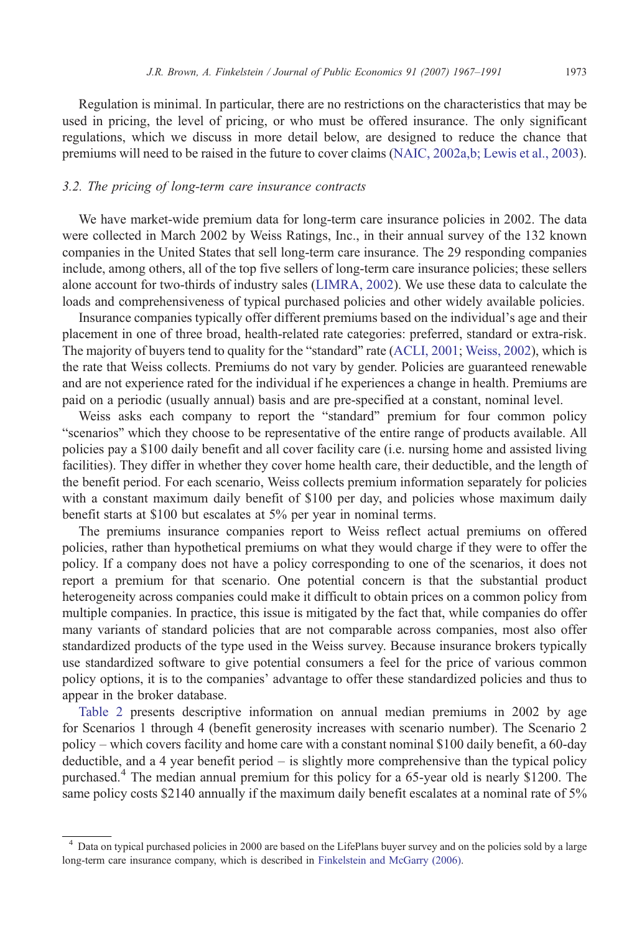Regulation is minimal. In particular, there are no restrictions on the characteristics that may be used in pricing, the level of pricing, or who must be offered insurance. The only significant regulations, which we discuss in more detail below, are designed to reduce the chance that premiums will need to be raised in the future to cover claims ([NAIC, 2002a,b; Lewis et al., 2003](#page-24-0)).

### 3.2. The pricing of long-term care insurance contracts

We have market-wide premium data for long-term care insurance policies in 2002. The data were collected in March 2002 by Weiss Ratings, Inc., in their annual survey of the 132 known companies in the United States that sell long-term care insurance. The 29 responding companies include, among others, all of the top five sellers of long-term care insurance policies; these sellers alone account for two-thirds of industry sales [\(LIMRA, 2002](#page-23-0)). We use these data to calculate the loads and comprehensiveness of typical purchased policies and other widely available policies.

Insurance companies typically offer different premiums based on the individual's age and their placement in one of three broad, health-related rate categories: preferred, standard or extra-risk. The majority of buyers tend to quality for the "standard" rate ([ACLI, 2001;](#page-22-0) [Weiss, 2002](#page-24-0)), which is the rate that Weiss collects. Premiums do not vary by gender. Policies are guaranteed renewable and are not experience rated for the individual if he experiences a change in health. Premiums are paid on a periodic (usually annual) basis and are pre-specified at a constant, nominal level.

Weiss asks each company to report the "standard" premium for four common policy "scenarios" which they choose to be representative of the entire range of products available. All policies pay a \$100 daily benefit and all cover facility care (i.e. nursing home and assisted living facilities). They differ in whether they cover home health care, their deductible, and the length of the benefit period. For each scenario, Weiss collects premium information separately for policies with a constant maximum daily benefit of \$100 per day, and policies whose maximum daily benefit starts at \$100 but escalates at 5% per year in nominal terms.

The premiums insurance companies report to Weiss reflect actual premiums on offered policies, rather than hypothetical premiums on what they would charge if they were to offer the policy. If a company does not have a policy corresponding to one of the scenarios, it does not report a premium for that scenario. One potential concern is that the substantial product heterogeneity across companies could make it difficult to obtain prices on a common policy from multiple companies. In practice, this issue is mitigated by the fact that, while companies do offer many variants of standard policies that are not comparable across companies, most also offer standardized products of the type used in the Weiss survey. Because insurance brokers typically use standardized software to give potential consumers a feel for the price of various common policy options, it is to the companies' advantage to offer these standardized policies and thus to appear in the broker database.

[Table 2](#page-7-0) presents descriptive information on annual median premiums in 2002 by age for Scenarios 1 through 4 (benefit generosity increases with scenario number). The Scenario 2 policy – which covers facility and home care with a constant nominal \$100 daily benefit, a 60-day deductible, and a 4 year benefit period – is slightly more comprehensive than the typical policy purchased.<sup>4</sup> The median annual premium for this policy for a 65-year old is nearly \$1200. The same policy costs \$2140 annually if the maximum daily benefit escalates at a nominal rate of 5%

Data on typical purchased policies in 2000 are based on the LifePlans buyer survey and on the policies sold by a large long-term care insurance company, which is described in [Finkelstein and McGarry \(2006\)](#page-23-0).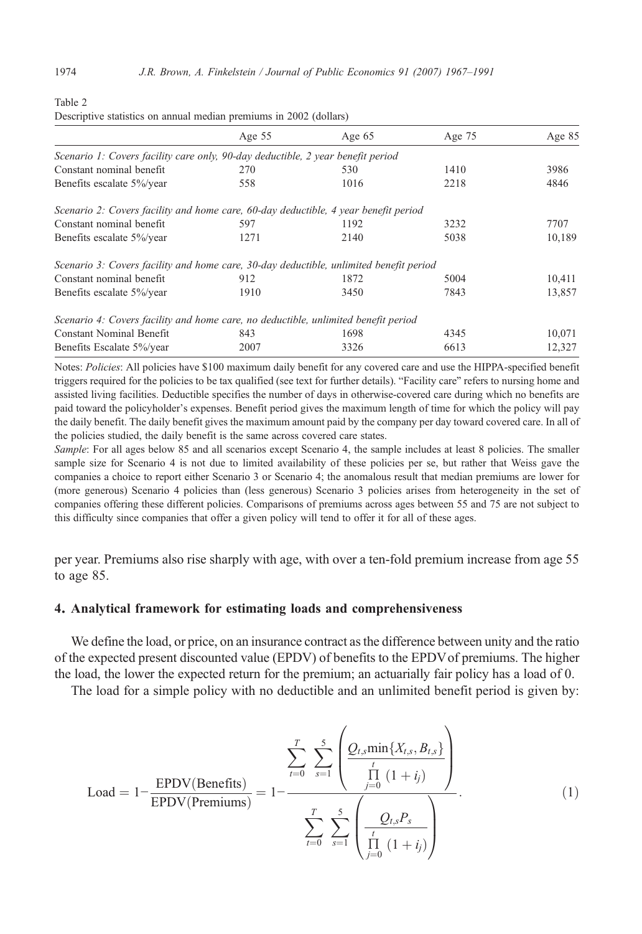Descriptive statistics on annual median premiums in 2002 (dollars)

|                                                                                        | Age 55 | Age $65$ | Age $75$ | Age 85 |  |
|----------------------------------------------------------------------------------------|--------|----------|----------|--------|--|
| Scenario 1: Covers facility care only, 90-day deductible, 2 year benefit period        |        |          |          |        |  |
| Constant nominal benefit                                                               | 270    | 530      | 1410     | 3986   |  |
| Benefits escalate 5%/year                                                              | 558    | 1016     | 2218     | 4846   |  |
| Scenario 2: Covers facility and home care, 60-day deductible, 4 year benefit period    |        |          |          |        |  |
| Constant nominal benefit                                                               | 597    | 1192     | 3232     | 7707   |  |
| Benefits escalate 5%/year<br>1271                                                      |        | 2140     | 5038     | 10,189 |  |
| Scenario 3: Covers facility and home care, 30-day deductible, unlimited benefit period |        |          |          |        |  |
| Constant nominal benefit                                                               | 912    | 1872     | 5004     | 10,411 |  |
| Benefits escalate 5%/year                                                              | 1910   | 3450     | 7843     | 13,857 |  |
| Scenario 4: Covers facility and home care, no deductible, unlimited benefit period     |        |          |          |        |  |
| <b>Constant Nominal Benefit</b>                                                        | 843    | 1698     | 4345     | 10.071 |  |
| Benefits Escalate 5%/year                                                              | 2007   | 3326     | 6613     | 12,327 |  |

<span id="page-7-0"></span>Table 2

Notes: Policies: All policies have \$100 maximum daily benefit for any covered care and use the HIPPA-specified benefit triggers required for the policies to be tax qualified (see text for further details). "Facility care" refers to nursing home and assisted living facilities. Deductible specifies the number of days in otherwise-covered care during which no benefits are

paid toward the policyholder's expenses. Benefit period gives the maximum length of time for which the policy will pay the daily benefit. The daily benefit gives the maximum amount paid by the company per day toward covered care. In all of the policies studied, the daily benefit is the same across covered care states.

Sample: For all ages below 85 and all scenarios except Scenario 4, the sample includes at least 8 policies. The smaller sample size for Scenario 4 is not due to limited availability of these policies per se, but rather that Weiss gave the companies a choice to report either Scenario 3 or Scenario 4; the anomalous result that median premiums are lower for (more generous) Scenario 4 policies than (less generous) Scenario 3 policies arises from heterogeneity in the set of companies offering these different policies. Comparisons of premiums across ages between 55 and 75 are not subject to this difficulty since companies that offer a given policy will tend to offer it for all of these ages.

per year. Premiums also rise sharply with age, with over a ten-fold premium increase from age 55 to age 85.

# 4. Analytical framework for estimating loads and comprehensiveness

We define the load, or price, on an insurance contract as the difference between unity and the ratio of the expected present discounted value (EPDV) of benefits to the EPDVof premiums. The higher the load, the lower the expected return for the premium; an actuarially fair policy has a load of 0.

The load for a simple policy with no deductible and an unlimited benefit period is given by:

$$
\text{Load} = 1 - \frac{\text{EPDV}(\text{Benefits})}{\text{EPDV}(\text{Premiums})} = 1 - \frac{\sum_{t=0}^{T} \sum_{s=1}^{5} \left( \frac{Q_{t,s} \min\{X_{t,s}, B_{t,s}\}}{\prod_{j=0}^{t} (1 + i_j)} \right)}{\sum_{t=0}^{T} \sum_{s=1}^{5} \left( \frac{Q_{t,s} P_s}{\prod_{j=0}^{t} (1 + i_j)} \right)}.
$$
(1)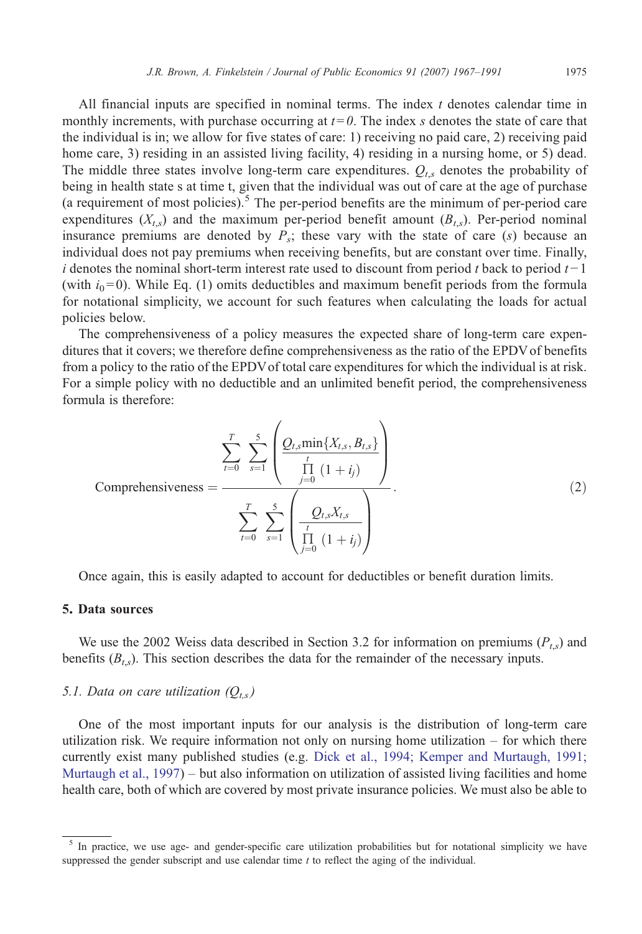All financial inputs are specified in nominal terms. The index  $t$  denotes calendar time in monthly increments, with purchase occurring at  $t=0$ . The index s denotes the state of care that the individual is in; we allow for five states of care: 1) receiving no paid care, 2) receiving paid home care, 3) residing in an assisted living facility, 4) residing in a nursing home, or 5) dead. The middle three states involve long-term care expenditures.  $Q_{ts}$  denotes the probability of being in health state s at time t, given that the individual was out of care at the age of purchase (a requirement of most policies).<sup>5</sup> The per-period benefits are the minimum of per-period care expenditures  $(X_{t,s})$  and the maximum per-period benefit amount  $(B_{t,s})$ . Per-period nominal insurance premiums are denoted by  $P_s$ ; these vary with the state of care (s) because an individual does not pay premiums when receiving benefits, but are constant over time. Finally, i denotes the nominal short-term interest rate used to discount from period t back to period  $t-1$ (with  $i_0$ =0). While Eq. (1) omits deductibles and maximum benefit periods from the formula for notational simplicity, we account for such features when calculating the loads for actual policies below.

The comprehensiveness of a policy measures the expected share of long-term care expenditures that it covers; we therefore define comprehensiveness as the ratio of the EPDV of benefits from a policy to the ratio of the EPDVof total care expenditures for which the individual is at risk. For a simple policy with no deductible and an unlimited benefit period, the comprehensiveness formula is therefore:

$$
Comprehensiveness = \frac{\sum_{t=0}^{T} \sum_{s=1}^{5} \left( \underbrace{Q_{t,s} \min\{X_{t,s}, B_{t,s}\}}_{\prod_{j=0}^{t} (1 + i_j)} \right)}_{\sum_{t=0}^{T} \sum_{s=1}^{5} \left( \underbrace{Q_{t,s} X_{t,s}}_{\prod_{j=0}^{t} (1 + i_j)} \right)}.
$$
\n(2)

Once again, this is easily adapted to account for deductibles or benefit duration limits.

# 5. Data sources

We use the 2002 Weiss data described in Section 3.2 for information on premiums  $(P_{t,s})$  and benefits  $(B_{t,s})$ . This section describes the data for the remainder of the necessary inputs.

### 5.1. Data on care utilization  $(Q_{ts})$

One of the most important inputs for our analysis is the distribution of long-term care utilization risk. We require information not only on nursing home utilization – for which there currently exist many published studies (e.g. [Dick et al., 1994; Kemper and Murtaugh, 1991;](#page-23-0) [Murtaugh et al., 1997](#page-23-0)) – but also information on utilization of assisted living facilities and home health care, both of which are covered by most private insurance policies. We must also be able to

In practice, we use age- and gender-specific care utilization probabilities but for notational simplicity we have suppressed the gender subscript and use calendar time  $t$  to reflect the aging of the individual.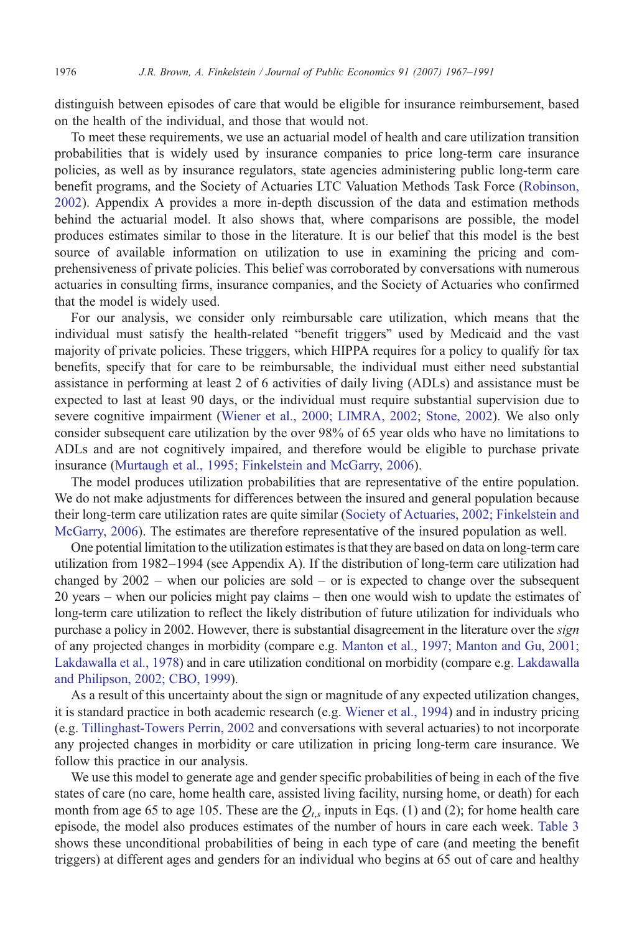distinguish between episodes of care that would be eligible for insurance reimbursement, based on the health of the individual, and those that would not.

To meet these requirements, we use an actuarial model of health and care utilization transition probabilities that is widely used by insurance companies to price long-term care insurance policies, as well as by insurance regulators, state agencies administering public long-term care benefit programs, and the Society of Actuaries LTC Valuation Methods Task Force ([Robinson,](#page-24-0) [2002\)](#page-24-0). Appendix A provides a more in-depth discussion of the data and estimation methods behind the actuarial model. It also shows that, where comparisons are possible, the model produces estimates similar to those in the literature. It is our belief that this model is the best source of available information on utilization to use in examining the pricing and comprehensiveness of private policies. This belief was corroborated by conversations with numerous actuaries in consulting firms, insurance companies, and the Society of Actuaries who confirmed that the model is widely used.

For our analysis, we consider only reimbursable care utilization, which means that the individual must satisfy the health-related "benefit triggers" used by Medicaid and the vast majority of private policies. These triggers, which HIPPA requires for a policy to qualify for tax benefits, specify that for care to be reimbursable, the individual must either need substantial assistance in performing at least 2 of 6 activities of daily living (ADLs) and assistance must be expected to last at least 90 days, or the individual must require substantial supervision due to severe cognitive impairment [\(Wiener et al., 2000; LIMRA, 2002](#page-24-0); [Stone, 2002](#page-24-0)). We also only consider subsequent care utilization by the over 98% of 65 year olds who have no limitations to ADLs and are not cognitively impaired, and therefore would be eligible to purchase private insurance ([Murtaugh et al., 1995; Finkelstein and McGarry, 2006\)](#page-24-0).

The model produces utilization probabilities that are representative of the entire population. We do not make adjustments for differences between the insured and general population because their long-term care utilization rates are quite similar ([Society of Actuaries, 2002; Finkelstein and](#page-24-0) [McGarry, 2006\)](#page-24-0). The estimates are therefore representative of the insured population as well.

One potential limitation to the utilization estimates is that they are based on data on long-term care utilization from 1982–1994 (see Appendix A). If the distribution of long-term care utilization had changed by  $2002$  – when our policies are sold – or is expected to change over the subsequent 20 years – when our policies might pay claims – then one would wish to update the estimates of long-term care utilization to reflect the likely distribution of future utilization for individuals who purchase a policy in 2002. However, there is substantial disagreement in the literature over the *sign* of any projected changes in morbidity (compare e.g. [Manton et al., 1997; Manton and Gu, 2001;](#page-23-0) [Lakdawalla et al., 1978\)](#page-23-0) and in care utilization conditional on morbidity (compare e.g. [Lakdawalla](#page-23-0) [and Philipson, 2002; CBO, 1999](#page-23-0)).

As a result of this uncertainty about the sign or magnitude of any expected utilization changes, it is standard practice in both academic research (e.g. [Wiener et al., 1994\)](#page-24-0) and in industry pricing (e.g. [Tillinghast-Towers Perrin, 2002](#page-24-0) and conversations with several actuaries) to not incorporate any projected changes in morbidity or care utilization in pricing long-term care insurance. We follow this practice in our analysis.

We use this model to generate age and gender specific probabilities of being in each of the five states of care (no care, home health care, assisted living facility, nursing home, or death) for each month from age 65 to age 105. These are the  $Q_{ts}$  inputs in Eqs. (1) and (2); for home health care episode, the model also produces estimates of the number of hours in care each week. [Table 3](#page-10-0) shows these unconditional probabilities of being in each type of care (and meeting the benefit triggers) at different ages and genders for an individual who begins at 65 out of care and healthy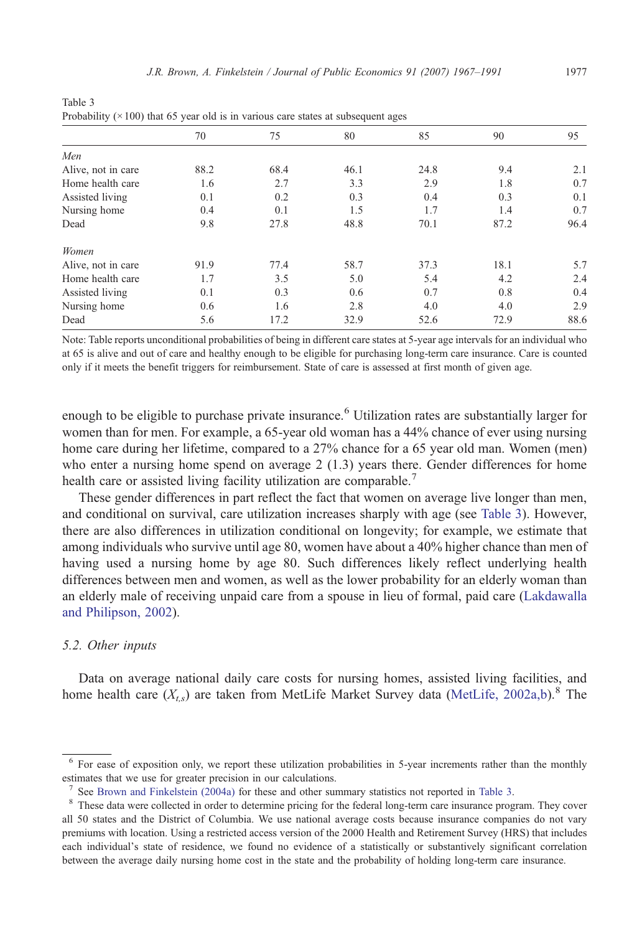| 100) they of your old to in various ours states at succeeding ages |      |      |      |      |      |  |  |  |  |
|--------------------------------------------------------------------|------|------|------|------|------|--|--|--|--|
| 70                                                                 | 75   | 80   | 85   | 90   | 95   |  |  |  |  |
|                                                                    |      |      |      |      |      |  |  |  |  |
| 88.2                                                               | 68.4 | 46.1 | 24.8 | 9.4  | 2.1  |  |  |  |  |
| 1.6                                                                | 2.7  | 3.3  | 2.9  | 1.8  | 0.7  |  |  |  |  |
| 0.1                                                                | 0.2  | 0.3  | 0.4  | 0.3  | 0.1  |  |  |  |  |
| 0.4                                                                | 0.1  | 1.5  | 1.7  | 1.4  | 0.7  |  |  |  |  |
| 9.8                                                                | 27.8 | 48.8 | 70.1 | 87.2 | 96.4 |  |  |  |  |
|                                                                    |      |      |      |      |      |  |  |  |  |
| 91.9                                                               | 77.4 | 58.7 | 37.3 | 18.1 | 5.7  |  |  |  |  |
| 1.7                                                                | 3.5  | 5.0  | 5.4  | 4.2  | 2.4  |  |  |  |  |
| 0.1                                                                | 0.3  | 0.6  | 0.7  | 0.8  | 0.4  |  |  |  |  |
| 0.6                                                                | 1.6  | 2.8  | 4.0  | 4.0  | 2.9  |  |  |  |  |
| 5.6                                                                | 17.2 | 32.9 | 52.6 | 72.9 | 88.6 |  |  |  |  |
|                                                                    |      |      |      |      |      |  |  |  |  |

<span id="page-10-0"></span>Table 3 Probability  $(x 100)$  that 65 year old is in various care states at subsequent ages

Note: Table reports unconditional probabilities of being in different care states at 5-year age intervals for an individual who at 65 is alive and out of care and healthy enough to be eligible for purchasing long-term care insurance. Care is counted only if it meets the benefit triggers for reimbursement. State of care is assessed at first month of given age.

enough to be eligible to purchase private insurance.<sup>6</sup> Utilization rates are substantially larger for women than for men. For example, a 65-year old woman has a 44% chance of ever using nursing home care during her lifetime, compared to a 27% chance for a 65 year old man. Women (men) who enter a nursing home spend on average 2 (1.3) years there. Gender differences for home health care or assisted living facility utilization are comparable.<sup>7</sup>

These gender differences in part reflect the fact that women on average live longer than men, and conditional on survival, care utilization increases sharply with age (see Table 3). However, there are also differences in utilization conditional on longevity; for example, we estimate that among individuals who survive until age 80, women have about a 40% higher chance than men of having used a nursing home by age 80. Such differences likely reflect underlying health differences between men and women, as well as the lower probability for an elderly woman than an elderly male of receiving unpaid care from a spouse in lieu of formal, paid care ([Lakdawalla](#page-23-0) [and Philipson, 2002\)](#page-23-0).

### 5.2. Other inputs

Data on average national daily care costs for nursing homes, assisted living facilities, and home health care  $(X_{t,s})$  are taken from MetLife Market Survey data ([MetLife, 2002a,b\)](#page-24-0).<sup>8</sup> The

<sup>&</sup>lt;sup>6</sup> For ease of exposition only, we report these utilization probabilities in 5-year increments rather than the monthly estimates that we use for greater precision in our calculations.

 $7$  See [Brown and Finkelstein \(2004a\)](#page-22-0) for these and other summary statistics not reported in Table 3. 8 These data were collected in order to determine pricing for the federal long-term care insurance program. They cover all 50 states and the District of Columbia. We use national average costs because insurance companies do not vary premiums with location. Using a restricted access version of the 2000 Health and Retirement Survey (HRS) that includes each individual's state of residence, we found no evidence of a statistically or substantively significant correlation between the average daily nursing home cost in the state and the probability of holding long-term care insurance.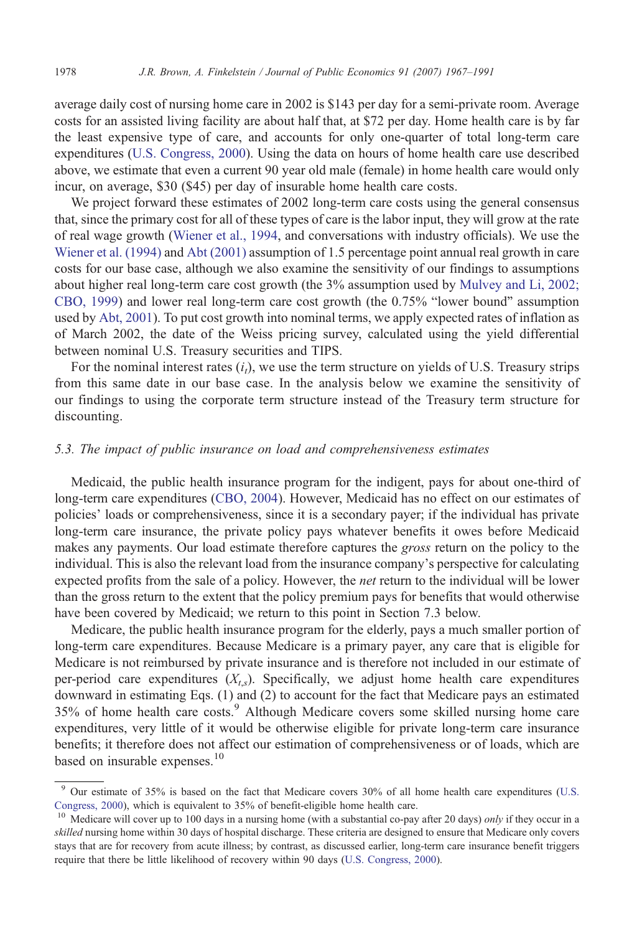average daily cost of nursing home care in 2002 is \$143 per day for a semi-private room. Average costs for an assisted living facility are about half that, at \$72 per day. Home health care is by far the least expensive type of care, and accounts for only one-quarter of total long-term care expenditures [\(U.S. Congress, 2000](#page-24-0)). Using the data on hours of home health care use described above, we estimate that even a current 90 year old male (female) in home health care would only incur, on average, \$30 (\$45) per day of insurable home health care costs.

We project forward these estimates of 2002 long-term care costs using the general consensus that, since the primary cost for all of these types of care is the labor input, they will grow at the rate of real wage growth [\(Wiener et al., 1994](#page-24-0), and conversations with industry officials). We use the [Wiener et al. \(1994\)](#page-24-0) and [Abt \(2001\)](#page-22-0) assumption of 1.5 percentage point annual real growth in care costs for our base case, although we also examine the sensitivity of our findings to assumptions about higher real long-term care cost growth (the 3% assumption used by [Mulvey and Li, 2002;](#page-24-0) [CBO, 1999](#page-24-0)) and lower real long-term care cost growth (the 0.75% "lower bound" assumption used by [Abt, 2001\)](#page-22-0). To put cost growth into nominal terms, we apply expected rates of inflation as of March 2002, the date of the Weiss pricing survey, calculated using the yield differential between nominal U.S. Treasury securities and TIPS.

For the nominal interest rates  $(i<sub>t</sub>)$ , we use the term structure on yields of U.S. Treasury strips from this same date in our base case. In the analysis below we examine the sensitivity of our findings to using the corporate term structure instead of the Treasury term structure for discounting.

## 5.3. The impact of public insurance on load and comprehensiveness estimates

Medicaid, the public health insurance program for the indigent, pays for about one-third of long-term care expenditures [\(CBO, 2004\)](#page-23-0). However, Medicaid has no effect on our estimates of policies' loads or comprehensiveness, since it is a secondary payer; if the individual has private long-term care insurance, the private policy pays whatever benefits it owes before Medicaid makes any payments. Our load estimate therefore captures the *gross* return on the policy to the individual. This is also the relevant load from the insurance company's perspective for calculating expected profits from the sale of a policy. However, the *net* return to the individual will be lower than the gross return to the extent that the policy premium pays for benefits that would otherwise have been covered by Medicaid; we return to this point in Section 7.3 below.

Medicare, the public health insurance program for the elderly, pays a much smaller portion of long-term care expenditures. Because Medicare is a primary payer, any care that is eligible for Medicare is not reimbursed by private insurance and is therefore not included in our estimate of per-period care expenditures  $(X_{t,s})$ . Specifically, we adjust home health care expenditures downward in estimating Eqs. (1) and (2) to account for the fact that Medicare pays an estimated 35% of home health care costs.<sup>9</sup> Although Medicare covers some skilled nursing home care expenditures, very little of it would be otherwise eligible for private long-term care insurance benefits; it therefore does not affect our estimation of comprehensiveness or of loads, which are based on insurable expenses.<sup>10</sup>

<sup>&</sup>lt;sup>9</sup> Our estimate of 35% is based on the fact that Medicare covers 30% of all home health care expenditures [\(U.S.](#page-24-0) [Congress, 2000\)](#page-24-0), which is equivalent to 35% of benefit-eligible home health care.

<sup>&</sup>lt;sup>10</sup> Medicare will cover up to 100 days in a nursing home (with a substantial co-pay after 20 days) *only* if they occur in a skilled nursing home within 30 days of hospital discharge. These criteria are designed to ensure that Medicare only covers stays that are for recovery from acute illness; by contrast, as discussed earlier, long-term care insurance benefit triggers require that there be little likelihood of recovery within 90 days [\(U.S. Congress, 2000](#page-24-0)).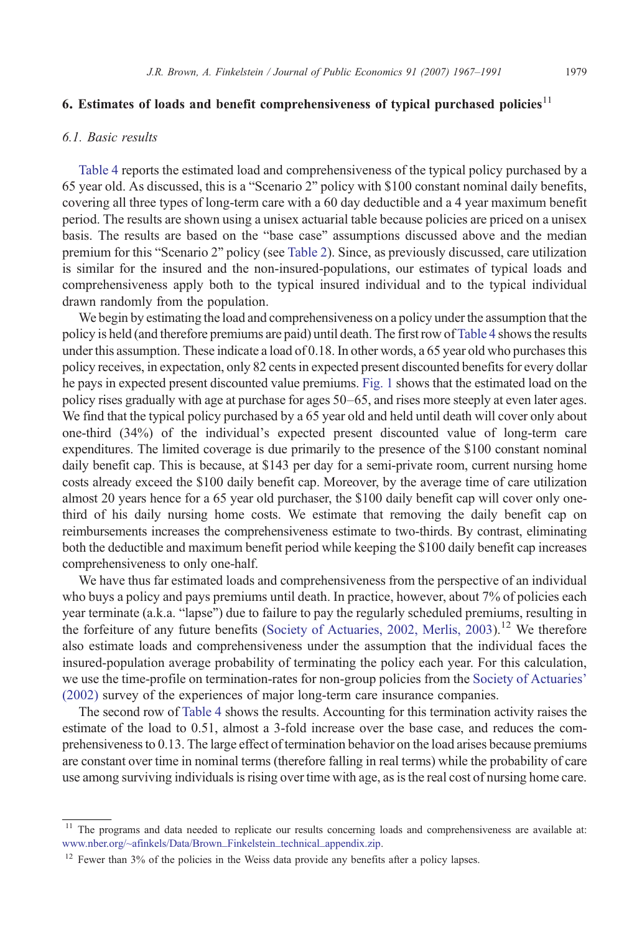# 6. Estimates of loads and benefit comprehensiveness of typical purchased policies $11$

# 6.1. Basic results

[Table 4](#page-13-0) reports the estimated load and comprehensiveness of the typical policy purchased by a 65 year old. As discussed, this is a "Scenario 2" policy with \$100 constant nominal daily benefits, covering all three types of long-term care with a 60 day deductible and a 4 year maximum benefit period. The results are shown using a unisex actuarial table because policies are priced on a unisex basis. The results are based on the "base case" assumptions discussed above and the median premium for this "Scenario 2" policy (see [Table 2\)](#page-7-0). Since, as previously discussed, care utilization is similar for the insured and the non-insured-populations, our estimates of typical loads and comprehensiveness apply both to the typical insured individual and to the typical individual drawn randomly from the population.

We begin by estimating the load and comprehensiveness on a policy under the assumption that the policy is held (and therefore premiums are paid) until death. The first row of [Table 4](#page-13-0) shows the results under this assumption. These indicate a load of 0.18. In other words, a 65 year old who purchases this policy receives, in expectation, only 82 cents in expected present discounted benefits for every dollar he pays in expected present discounted value premiums. [Fig. 1](#page-14-0) shows that the estimated load on the policy rises gradually with age at purchase for ages 50–65, and rises more steeply at even later ages. We find that the typical policy purchased by a 65 year old and held until death will cover only about one-third (34%) of the individual's expected present discounted value of long-term care expenditures. The limited coverage is due primarily to the presence of the \$100 constant nominal daily benefit cap. This is because, at \$143 per day for a semi-private room, current nursing home costs already exceed the \$100 daily benefit cap. Moreover, by the average time of care utilization almost 20 years hence for a 65 year old purchaser, the \$100 daily benefit cap will cover only onethird of his daily nursing home costs. We estimate that removing the daily benefit cap on reimbursements increases the comprehensiveness estimate to two-thirds. By contrast, eliminating both the deductible and maximum benefit period while keeping the \$100 daily benefit cap increases comprehensiveness to only one-half.

We have thus far estimated loads and comprehensiveness from the perspective of an individual who buys a policy and pays premiums until death. In practice, however, about 7% of policies each year terminate (a.k.a. "lapse") due to failure to pay the regularly scheduled premiums, resulting in the forfeiture of any future benefits [\(Society of Actuaries, 2002, Merlis, 2003](#page-24-0)).<sup>12</sup> We therefore also estimate loads and comprehensiveness under the assumption that the individual faces the insured-population average probability of terminating the policy each year. For this calculation, we use the time-profile on termination-rates for non-group policies from the [Society of Actuaries'](#page-24-0) [\(2002\)](#page-24-0) survey of the experiences of major long-term care insurance companies.

The second row of [Table 4](#page-13-0) shows the results. Accounting for this termination activity raises the estimate of the load to 0.51, almost a 3-fold increase over the base case, and reduces the comprehensiveness to 0.13. The large effect of termination behavior on the load arises because premiums are constant over time in nominal terms (therefore falling in real terms) while the probability of care use among surviving individuals is rising over time with age, as is the real cost of nursing home care.

<sup>&</sup>lt;sup>11</sup> The programs and data needed to replicate our results concerning loads and comprehensiveness are available at: www.nber.org/~afinkels/Data/Brown\_Finkelstein\_technical\_appendix.zip.

<sup>&</sup>lt;sup>12</sup> Fewer than 3% of the policies in the Weiss data provide any benefits after a policy lapses.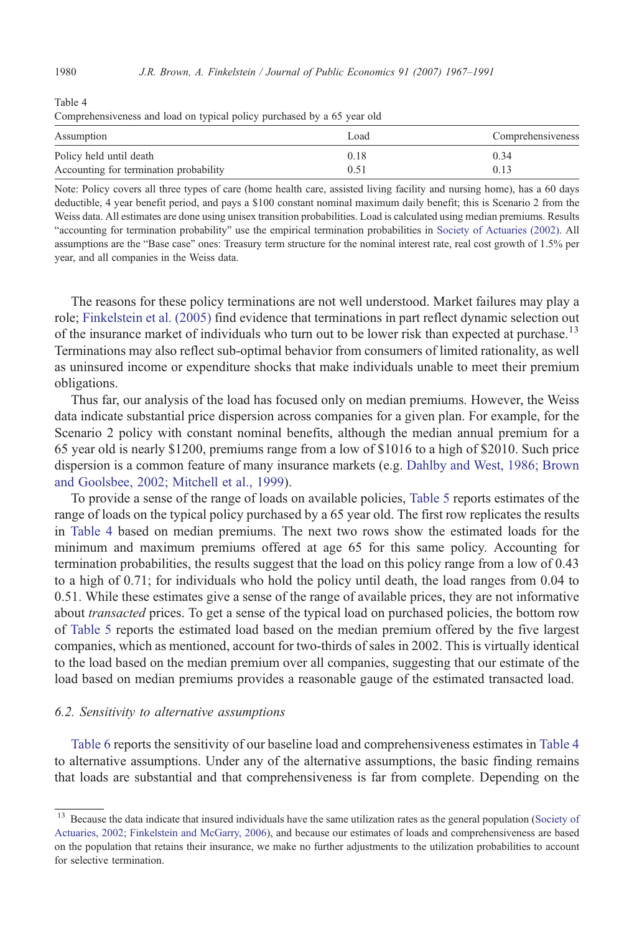| Comprehensiveness and load on typical policy purchased by a 65 year old |      |                   |  |  |  |  |
|-------------------------------------------------------------------------|------|-------------------|--|--|--|--|
| Assumption                                                              | Load | Comprehensiveness |  |  |  |  |
| Policy held until death                                                 | 0.18 | 0.34              |  |  |  |  |
| Accounting for termination probability                                  | 0.51 | 0.13              |  |  |  |  |

Note: Policy covers all three types of care (home health care, assisted living facility and nursing home), has a 60 days deductible, 4 year benefit period, and pays a \$100 constant nominal maximum daily benefit; this is Scenario 2 from the Weiss data. All estimates are done using unisex transition probabilities. Load is calculated using median premiums. Results "accounting for termination probability" use the empirical termination probabilities in [Society of Actuaries \(2002\).](#page-24-0) All assumptions are the "Base case" ones: Treasury term structure for the nominal interest rate, real cost growth of 1.5% per year, and all companies in the Weiss data.

The reasons for these policy terminations are not well understood. Market failures may play a role; [Finkelstein et al. \(2005\)](#page-23-0) find evidence that terminations in part reflect dynamic selection out of the insurance market of individuals who turn out to be lower risk than expected at purchase.<sup>13</sup> Terminations may also reflect sub-optimal behavior from consumers of limited rationality, as well as uninsured income or expenditure shocks that make individuals unable to meet their premium obligations.

Thus far, our analysis of the load has focused only on median premiums. However, the Weiss data indicate substantial price dispersion across companies for a given plan. For example, for the Scenario 2 policy with constant nominal benefits, although the median annual premium for a 65 year old is nearly \$1200, premiums range from a low of \$1016 to a high of \$2010. Such price dispersion is a common feature of many insurance markets (e.g. [Dahlby and West, 1986; Brown](#page-23-0) [and Goolsbee, 2002; Mitchell et al., 1999](#page-23-0)).

To provide a sense of the range of loads on available policies, [Table 5](#page-14-0) reports estimates of the range of loads on the typical policy purchased by a 65 year old. The first row replicates the results in Table 4 based on median premiums. The next two rows show the estimated loads for the minimum and maximum premiums offered at age 65 for this same policy. Accounting for termination probabilities, the results suggest that the load on this policy range from a low of 0.43 to a high of 0.71; for individuals who hold the policy until death, the load ranges from 0.04 to 0.51. While these estimates give a sense of the range of available prices, they are not informative about *transacted* prices. To get a sense of the typical load on purchased policies, the bottom row of [Table 5](#page-14-0) reports the estimated load based on the median premium offered by the five largest companies, which as mentioned, account for two-thirds of sales in 2002. This is virtually identical to the load based on the median premium over all companies, suggesting that our estimate of the load based on median premiums provides a reasonable gauge of the estimated transacted load.

### 6.2. Sensitivity to alternative assumptions

[Table 6](#page-15-0) reports the sensitivity of our baseline load and comprehensiveness estimates in Table 4 to alternative assumptions. Under any of the alternative assumptions, the basic finding remains that loads are substantial and that comprehensiveness is far from complete. Depending on the

<span id="page-13-0"></span>Table 4

<sup>13</sup> Because the data indicate that insured individuals have the same utilization rates as the general population [\(Society of](#page-24-0) [Actuaries, 2002; Finkelstein and McGarry, 2006](#page-24-0)), and because our estimates of loads and comprehensiveness are based on the population that retains their insurance, we make no further adjustments to the utilization probabilities to account for selective termination.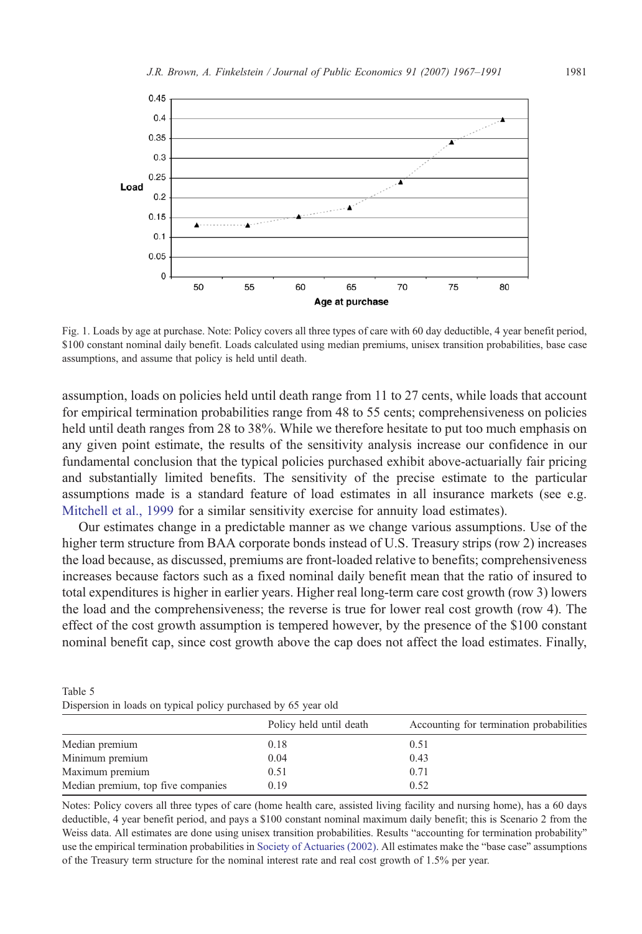<span id="page-14-0"></span>

Fig. 1. Loads by age at purchase. Note: Policy covers all three types of care with 60 day deductible, 4 year benefit period, \$100 constant nominal daily benefit. Loads calculated using median premiums, unisex transition probabilities, base case assumptions, and assume that policy is held until death.

assumption, loads on policies held until death range from 11 to 27 cents, while loads that account for empirical termination probabilities range from 48 to 55 cents; comprehensiveness on policies held until death ranges from 28 to 38%. While we therefore hesitate to put too much emphasis on any given point estimate, the results of the sensitivity analysis increase our confidence in our fundamental conclusion that the typical policies purchased exhibit above-actuarially fair pricing and substantially limited benefits. The sensitivity of the precise estimate to the particular assumptions made is a standard feature of load estimates in all insurance markets (see e.g. [Mitchell et al., 1999](#page-24-0) for a similar sensitivity exercise for annuity load estimates).

Our estimates change in a predictable manner as we change various assumptions. Use of the higher term structure from BAA corporate bonds instead of U.S. Treasury strips (row 2) increases the load because, as discussed, premiums are front-loaded relative to benefits; comprehensiveness increases because factors such as a fixed nominal daily benefit mean that the ratio of insured to total expenditures is higher in earlier years. Higher real long-term care cost growth (row 3) lowers the load and the comprehensiveness; the reverse is true for lower real cost growth (row 4). The effect of the cost growth assumption is tempered however, by the presence of the \$100 constant nominal benefit cap, since cost growth above the cap does not affect the load estimates. Finally,

|                                    | Policy held until death | Accounting for termination probabilities |  |  |  |  |  |  |  |
|------------------------------------|-------------------------|------------------------------------------|--|--|--|--|--|--|--|
| Median premium                     | 0.18                    | 0.51                                     |  |  |  |  |  |  |  |
| Minimum premium                    | 0.04                    | 0.43                                     |  |  |  |  |  |  |  |
| Maximum premium                    | 0.51                    | 0.71                                     |  |  |  |  |  |  |  |
| Median premium, top five companies | 0.19                    | 0.52                                     |  |  |  |  |  |  |  |

Table 5 Dispersion in loads on typical policy purchased by 65 year old

Notes: Policy covers all three types of care (home health care, assisted living facility and nursing home), has a 60 days deductible, 4 year benefit period, and pays a \$100 constant nominal maximum daily benefit; this is Scenario 2 from the Weiss data. All estimates are done using unisex transition probabilities. Results "accounting for termination probability" use the empirical termination probabilities in [Society of Actuaries \(2002\)](#page-24-0). All estimates make the "base case" assumptions of the Treasury term structure for the nominal interest rate and real cost growth of 1.5% per year.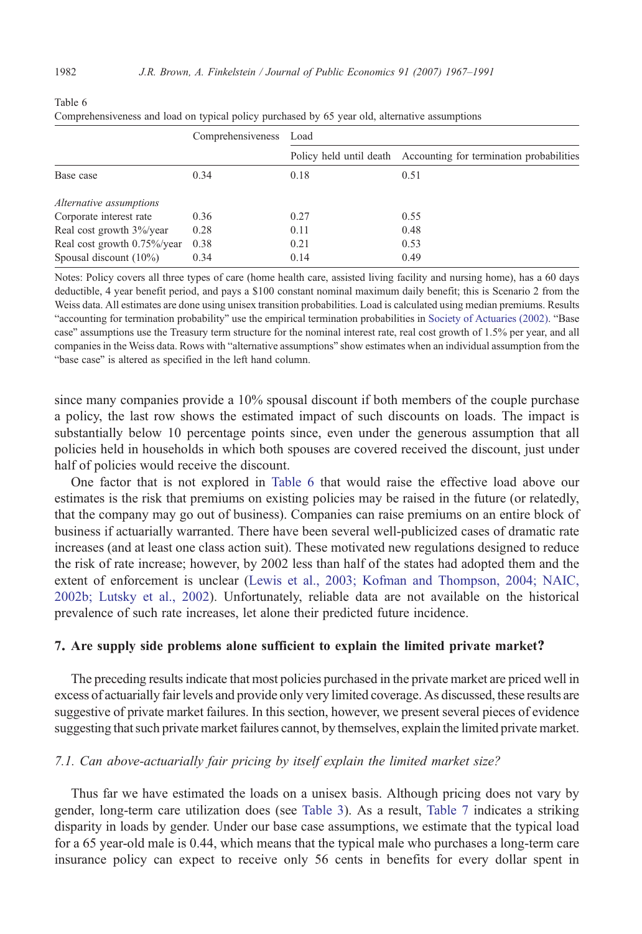<span id="page-15-0"></span>Table 6

|                             | Comprehensiveness Load |      |                                                                  |  |  |  |
|-----------------------------|------------------------|------|------------------------------------------------------------------|--|--|--|
|                             |                        |      | Policy held until death Accounting for termination probabilities |  |  |  |
| Base case                   | 0.34                   | 0.18 | 0.51                                                             |  |  |  |
| Alternative assumptions     |                        |      |                                                                  |  |  |  |
| Corporate interest rate     | 0.36                   | 0.27 | 0.55                                                             |  |  |  |
| Real cost growth 3%/year    | 0.28                   | 0.11 | 0.48                                                             |  |  |  |
| Real cost growth 0.75%/year | 0.38                   | 0.21 | 0.53                                                             |  |  |  |
| Spousal discount $(10\%)$   | 0.34                   | 0.14 | 0.49                                                             |  |  |  |

Comprehensiveness and load on typical policy purchased by 65 year old, alternative assumptions

Notes: Policy covers all three types of care (home health care, assisted living facility and nursing home), has a 60 days deductible, 4 year benefit period, and pays a \$100 constant nominal maximum daily benefit; this is Scenario 2 from the Weiss data. All estimates are done using unisex transition probabilities. Load is calculated using median premiums. Results "accounting for termination probability" use the empirical termination probabilities in [Society of Actuaries \(2002\).](#page-24-0) "Base case" assumptions use the Treasury term structure for the nominal interest rate, real cost growth of 1.5% per year, and all companies in the Weiss data. Rows with "alternative assumptions" show estimates when an individual assumption from the "base case" is altered as specified in the left hand column.

since many companies provide a 10% spousal discount if both members of the couple purchase a policy, the last row shows the estimated impact of such discounts on loads. The impact is substantially below 10 percentage points since, even under the generous assumption that all policies held in households in which both spouses are covered received the discount, just under half of policies would receive the discount.

One factor that is not explored in Table 6 that would raise the effective load above our estimates is the risk that premiums on existing policies may be raised in the future (or relatedly, that the company may go out of business). Companies can raise premiums on an entire block of business if actuarially warranted. There have been several well-publicized cases of dramatic rate increases (and at least one class action suit). These motivated new regulations designed to reduce the risk of rate increase; however, by 2002 less than half of the states had adopted them and the extent of enforcement is unclear [\(Lewis et al., 2003; Kofman and Thompson, 2004; NAIC,](#page-23-0) [2002b; Lutsky et al., 2002\)](#page-23-0). Unfortunately, reliable data are not available on the historical prevalence of such rate increases, let alone their predicted future incidence.

# 7. Are supply side problems alone sufficient to explain the limited private market?

The preceding results indicate that most policies purchased in the private market are priced well in excess of actuarially fair levels and provide only very limited coverage. As discussed, these results are suggestive of private market failures. In this section, however, we present several pieces of evidence suggesting that such private market failures cannot, by themselves, explain the limited private market.

# 7.1. Can above-actuarially fair pricing by itself explain the limited market size?

Thus far we have estimated the loads on a unisex basis. Although pricing does not vary by gender, long-term care utilization does (see [Table 3\)](#page-10-0). As a result, [Table 7](#page-16-0) indicates a striking disparity in loads by gender. Under our base case assumptions, we estimate that the typical load for a 65 year-old male is 0.44, which means that the typical male who purchases a long-term care insurance policy can expect to receive only 56 cents in benefits for every dollar spent in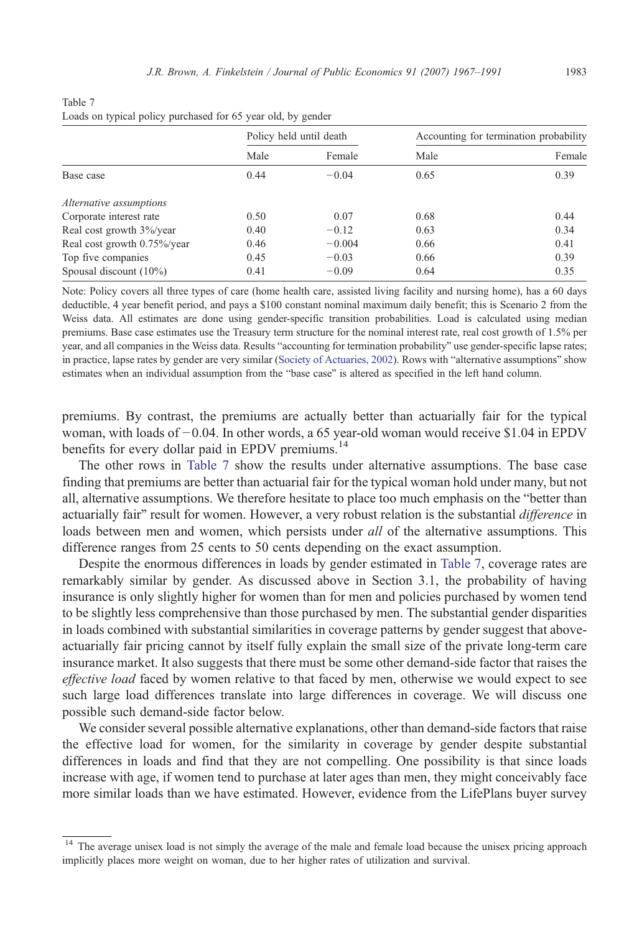|                             | Policy held until death |          | Accounting for termination probability |        |  |
|-----------------------------|-------------------------|----------|----------------------------------------|--------|--|
|                             | Male                    | Female   | Male                                   | Female |  |
| Base case                   | 0.44                    | $-0.04$  | 0.65                                   | 0.39   |  |
| Alternative assumptions     |                         |          |                                        |        |  |
| Corporate interest rate     | 0.50                    | 0.07     | 0.68                                   | 0.44   |  |
| Real cost growth 3%/year    | 0.40                    | $-0.12$  | 0.63                                   | 0.34   |  |
| Real cost growth 0.75%/year | 0.46                    | $-0.004$ | 0.66                                   | 0.41   |  |
| Top five companies          | 0.45                    | $-0.03$  | 0.66                                   | 0.39   |  |
| Spousal discount $(10\%)$   | 0.41                    | $-0.09$  | 0.64                                   | 0.35   |  |

<span id="page-16-0"></span>Table 7 Loads on typical policy purchased for 65 year old, by gender

Note: Policy covers all three types of care (home health care, assisted living facility and nursing home), has a 60 days deductible, 4 year benefit period, and pays a \$100 constant nominal maximum daily benefit; this is Scenario 2 from the Weiss data. All estimates are done using gender-specific transition probabilities. Load is calculated using median premiums. Base case estimates use the Treasury term structure for the nominal interest rate, real cost growth of 1.5% per year, and all companies in the Weiss data. Results "accounting for termination probability" use gender-specific lapse rates; in practice, lapse rates by gender are very similar ([Society of Actuaries, 2002\)](#page-24-0). Rows with "alternative assumptions" show estimates when an individual assumption from the "base case" is altered as specified in the left hand column.

premiums. By contrast, the premiums are actually better than actuarially fair for the typical woman, with loads of −0.04. In other words, a 65 year-old woman would receive \$1.04 in EPDV benefits for every dollar paid in EPDV premiums.<sup>14</sup>

The other rows in Table 7 show the results under alternative assumptions. The base case finding that premiums are better than actuarial fair for the typical woman hold under many, but not all, alternative assumptions. We therefore hesitate to place too much emphasis on the "better than actuarially fair" result for women. However, a very robust relation is the substantial *difference* in loads between men and women, which persists under *all* of the alternative assumptions. This difference ranges from 25 cents to 50 cents depending on the exact assumption.

Despite the enormous differences in loads by gender estimated in Table 7, coverage rates are remarkably similar by gender. As discussed above in Section 3.1, the probability of having insurance is only slightly higher for women than for men and policies purchased by women tend to be slightly less comprehensive than those purchased by men. The substantial gender disparities in loads combined with substantial similarities in coverage patterns by gender suggest that aboveactuarially fair pricing cannot by itself fully explain the small size of the private long-term care insurance market. It also suggests that there must be some other demand-side factor that raises the effective load faced by women relative to that faced by men, otherwise we would expect to see such large load differences translate into large differences in coverage. We will discuss one possible such demand-side factor below.

We consider several possible alternative explanations, other than demand-side factors that raise the effective load for women, for the similarity in coverage by gender despite substantial differences in loads and find that they are not compelling. One possibility is that since loads increase with age, if women tend to purchase at later ages than men, they might conceivably face more similar loads than we have estimated. However, evidence from the LifePlans buyer survey

<sup>&</sup>lt;sup>14</sup> The average unisex load is not simply the average of the male and female load because the unisex pricing approach implicitly places more weight on woman, due to her higher rates of utilization and survival.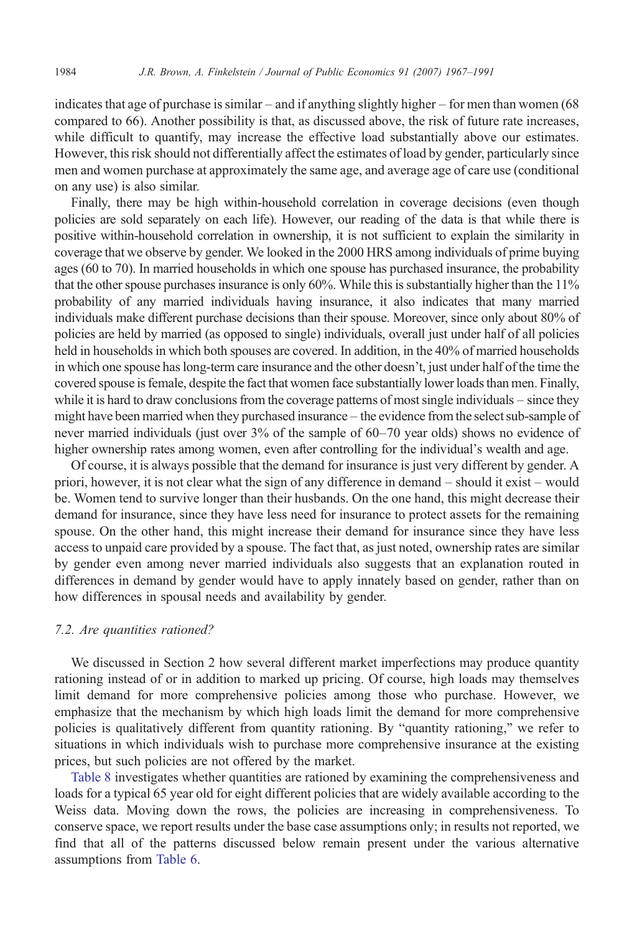indicates that age of purchase is similar – and if anything slightly higher – for men than women (68 compared to 66). Another possibility is that, as discussed above, the risk of future rate increases, while difficult to quantify, may increase the effective load substantially above our estimates. However, this risk should not differentially affect the estimates of load by gender, particularly since men and women purchase at approximately the same age, and average age of care use (conditional on any use) is also similar.

Finally, there may be high within-household correlation in coverage decisions (even though policies are sold separately on each life). However, our reading of the data is that while there is positive within-household correlation in ownership, it is not sufficient to explain the similarity in coverage that we observe by gender. We looked in the 2000 HRS among individuals of prime buying ages (60 to 70). In married households in which one spouse has purchased insurance, the probability that the other spouse purchases insurance is only 60%. While this is substantially higher than the  $11\%$ probability of any married individuals having insurance, it also indicates that many married individuals make different purchase decisions than their spouse. Moreover, since only about 80% of policies are held by married (as opposed to single) individuals, overall just under half of all policies held in households in which both spouses are covered. In addition, in the 40% of married households in which one spouse has long-term care insurance and the other doesn't, just under half of the time the covered spouse is female, despite the fact that women face substantially lower loads than men. Finally, while it is hard to draw conclusions from the coverage patterns of most single individuals – since they might have been married when they purchased insurance – the evidence from the select sub-sample of never married individuals (just over 3% of the sample of 60–70 year olds) shows no evidence of higher ownership rates among women, even after controlling for the individual's wealth and age.

Of course, it is always possible that the demand for insurance is just very different by gender. A priori, however, it is not clear what the sign of any difference in demand – should it exist – would be. Women tend to survive longer than their husbands. On the one hand, this might decrease their demand for insurance, since they have less need for insurance to protect assets for the remaining spouse. On the other hand, this might increase their demand for insurance since they have less access to unpaid care provided by a spouse. The fact that, as just noted, ownership rates are similar by gender even among never married individuals also suggests that an explanation routed in differences in demand by gender would have to apply innately based on gender, rather than on how differences in spousal needs and availability by gender.

### 7.2. Are quantities rationed?

We discussed in Section 2 how several different market imperfections may produce quantity rationing instead of or in addition to marked up pricing. Of course, high loads may themselves limit demand for more comprehensive policies among those who purchase. However, we emphasize that the mechanism by which high loads limit the demand for more comprehensive policies is qualitatively different from quantity rationing. By "quantity rationing," we refer to situations in which individuals wish to purchase more comprehensive insurance at the existing prices, but such policies are not offered by the market.

[Table 8](#page-18-0) investigates whether quantities are rationed by examining the comprehensiveness and loads for a typical 65 year old for eight different policies that are widely available according to the Weiss data. Moving down the rows, the policies are increasing in comprehensiveness. To conserve space, we report results under the base case assumptions only; in results not reported, we find that all of the patterns discussed below remain present under the various alternative assumptions from [Table 6.](#page-15-0)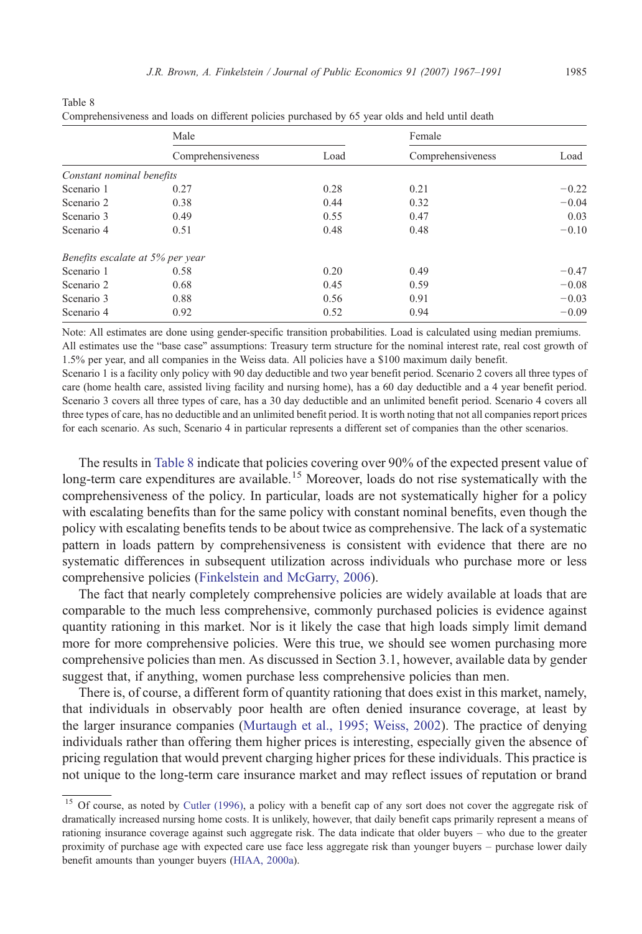|                                  | Male              |      | Female            |         |  |
|----------------------------------|-------------------|------|-------------------|---------|--|
|                                  | Comprehensiveness | Load | Comprehensiveness | Load    |  |
| Constant nominal benefits        |                   |      |                   |         |  |
| Scenario 1                       | 0.27              | 0.28 | 0.21              | $-0.22$ |  |
| Scenario 2                       | 0.38              | 0.44 | 0.32              | $-0.04$ |  |
| Scenario 3                       | 0.49              | 0.55 | 0.47              | 0.03    |  |
| Scenario 4                       | 0.51              | 0.48 | 0.48              | $-0.10$ |  |
| Benefits escalate at 5% per year |                   |      |                   |         |  |
| Scenario 1                       | 0.58              | 0.20 | 0.49              | $-0.47$ |  |
| Scenario 2                       | 0.68              | 0.45 | 0.59              | $-0.08$ |  |
| Scenario 3                       | 0.88              | 0.56 | 0.91              | $-0.03$ |  |
| Scenario 4                       | 0.92              | 0.52 | 0.94              | $-0.09$ |  |

<span id="page-18-0"></span>Table 8 Comprehensiveness and loads on different policies purchased by 65 year olds and held until death

Note: All estimates are done using gender-specific transition probabilities. Load is calculated using median premiums. All estimates use the "base case" assumptions: Treasury term structure for the nominal interest rate, real cost growth of 1.5% per year, and all companies in the Weiss data. All policies have a \$100 maximum daily benefit.

Scenario 1 is a facility only policy with 90 day deductible and two year benefit period. Scenario 2 covers all three types of care (home health care, assisted living facility and nursing home), has a 60 day deductible and a 4 year benefit period. Scenario 3 covers all three types of care, has a 30 day deductible and an unlimited benefit period. Scenario 4 covers all three types of care, has no deductible and an unlimited benefit period. It is worth noting that not all companies report prices for each scenario. As such, Scenario 4 in particular represents a different set of companies than the other scenarios.

The results in Table 8 indicate that policies covering over 90% of the expected present value of long-term care expenditures are available.<sup>15</sup> Moreover, loads do not rise systematically with the comprehensiveness of the policy. In particular, loads are not systematically higher for a policy with escalating benefits than for the same policy with constant nominal benefits, even though the policy with escalating benefits tends to be about twice as comprehensive. The lack of a systematic pattern in loads pattern by comprehensiveness is consistent with evidence that there are no systematic differences in subsequent utilization across individuals who purchase more or less comprehensive policies [\(Finkelstein and McGarry, 2006](#page-23-0)).

The fact that nearly completely comprehensive policies are widely available at loads that are comparable to the much less comprehensive, commonly purchased policies is evidence against quantity rationing in this market. Nor is it likely the case that high loads simply limit demand more for more comprehensive policies. Were this true, we should see women purchasing more comprehensive policies than men. As discussed in Section 3.1, however, available data by gender suggest that, if anything, women purchase less comprehensive policies than men.

There is, of course, a different form of quantity rationing that does exist in this market, namely, that individuals in observably poor health are often denied insurance coverage, at least by the larger insurance companies [\(Murtaugh et al., 1995; Weiss, 2002\)](#page-24-0). The practice of denying individuals rather than offering them higher prices is interesting, especially given the absence of pricing regulation that would prevent charging higher prices for these individuals. This practice is not unique to the long-term care insurance market and may reflect issues of reputation or brand

<sup>&</sup>lt;sup>15</sup> Of course, as noted by [Cutler \(1996\)](#page-23-0), a policy with a benefit cap of any sort does not cover the aggregate risk of dramatically increased nursing home costs. It is unlikely, however, that daily benefit caps primarily represent a means of rationing insurance coverage against such aggregate risk. The data indicate that older buyers – who due to the greater proximity of purchase age with expected care use face less aggregate risk than younger buyers – purchase lower daily benefit amounts than younger buyers [\(HIAA, 2000a\)](#page-23-0).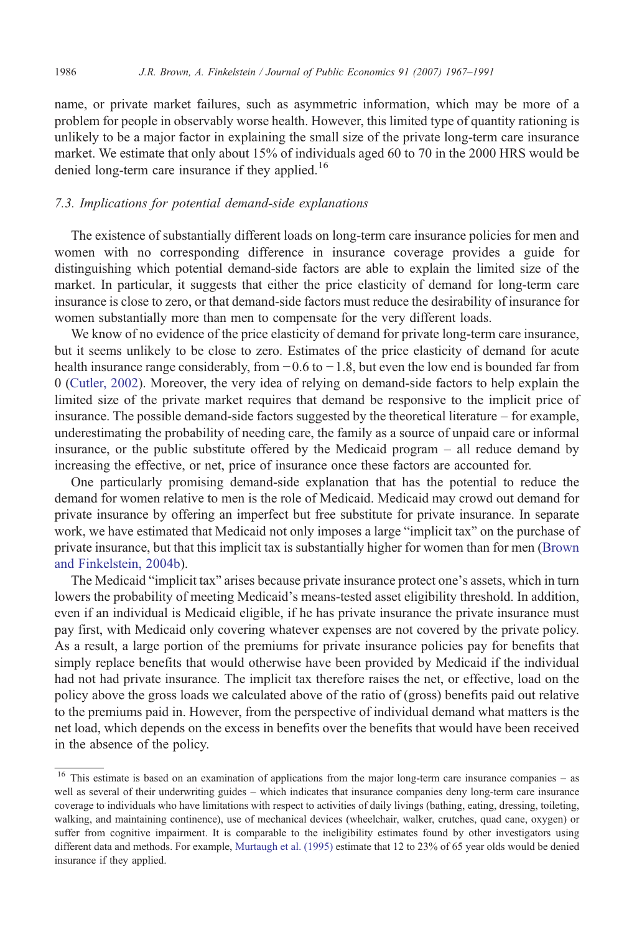name, or private market failures, such as asymmetric information, which may be more of a problem for people in observably worse health. However, this limited type of quantity rationing is unlikely to be a major factor in explaining the small size of the private long-term care insurance market. We estimate that only about 15% of individuals aged 60 to 70 in the 2000 HRS would be denied long-term care insurance if they applied.<sup>16</sup>

### 7.3. Implications for potential demand-side explanations

The existence of substantially different loads on long-term care insurance policies for men and women with no corresponding difference in insurance coverage provides a guide for distinguishing which potential demand-side factors are able to explain the limited size of the market. In particular, it suggests that either the price elasticity of demand for long-term care insurance is close to zero, or that demand-side factors must reduce the desirability of insurance for women substantially more than men to compensate for the very different loads.

We know of no evidence of the price elasticity of demand for private long-term care insurance, but it seems unlikely to be close to zero. Estimates of the price elasticity of demand for acute health insurance range considerably, from −0.6 to −1.8, but even the low end is bounded far from 0 ([Cutler, 2002\)](#page-23-0). Moreover, the very idea of relying on demand-side factors to help explain the limited size of the private market requires that demand be responsive to the implicit price of insurance. The possible demand-side factors suggested by the theoretical literature – for example, underestimating the probability of needing care, the family as a source of unpaid care or informal insurance, or the public substitute offered by the Medicaid program – all reduce demand by increasing the effective, or net, price of insurance once these factors are accounted for.

One particularly promising demand-side explanation that has the potential to reduce the demand for women relative to men is the role of Medicaid. Medicaid may crowd out demand for private insurance by offering an imperfect but free substitute for private insurance. In separate work, we have estimated that Medicaid not only imposes a large "implicit tax" on the purchase of private insurance, but that this implicit tax is substantially higher for women than for men [\(Brown](#page-22-0) [and Finkelstein, 2004b](#page-22-0)).

The Medicaid "implicit tax" arises because private insurance protect one's assets, which in turn lowers the probability of meeting Medicaid's means-tested asset eligibility threshold. In addition, even if an individual is Medicaid eligible, if he has private insurance the private insurance must pay first, with Medicaid only covering whatever expenses are not covered by the private policy. As a result, a large portion of the premiums for private insurance policies pay for benefits that simply replace benefits that would otherwise have been provided by Medicaid if the individual had not had private insurance. The implicit tax therefore raises the net, or effective, load on the policy above the gross loads we calculated above of the ratio of (gross) benefits paid out relative to the premiums paid in. However, from the perspective of individual demand what matters is the net load, which depends on the excess in benefits over the benefits that would have been received in the absence of the policy.

<sup>&</sup>lt;sup>16</sup> This estimate is based on an examination of applications from the major long-term care insurance companies – as well as several of their underwriting guides – which indicates that insurance companies deny long-term care insurance coverage to individuals who have limitations with respect to activities of daily livings (bathing, eating, dressing, toileting, walking, and maintaining continence), use of mechanical devices (wheelchair, walker, crutches, quad cane, oxygen) or suffer from cognitive impairment. It is comparable to the ineligibility estimates found by other investigators using different data and methods. For example, [Murtaugh et al. \(1995\)](#page-24-0) estimate that 12 to 23% of 65 year olds would be denied insurance if they applied.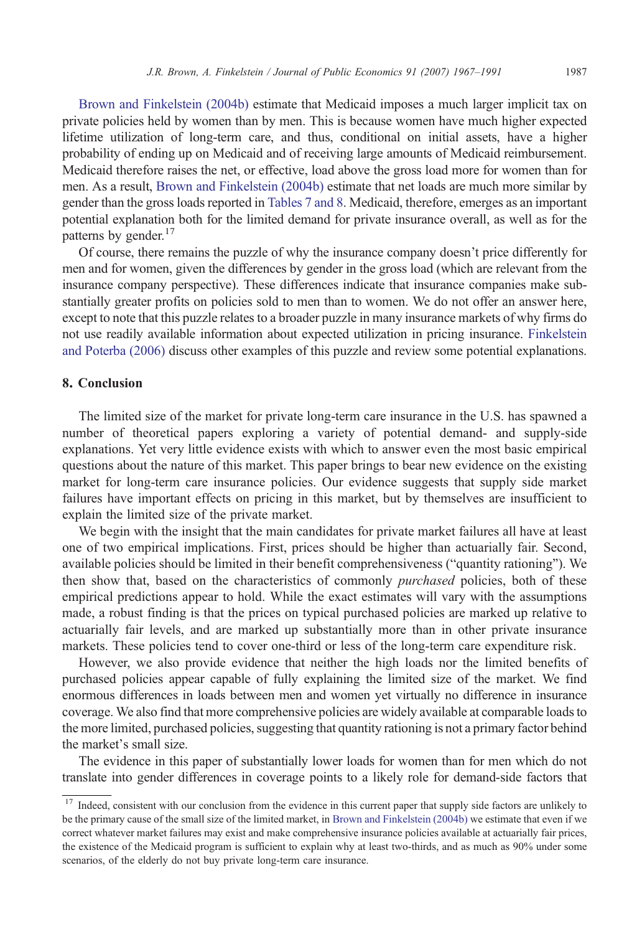[Brown and Finkelstein \(2004b\)](#page-22-0) estimate that Medicaid imposes a much larger implicit tax on private policies held by women than by men. This is because women have much higher expected lifetime utilization of long-term care, and thus, conditional on initial assets, have a higher probability of ending up on Medicaid and of receiving large amounts of Medicaid reimbursement. Medicaid therefore raises the net, or effective, load above the gross load more for women than for men. As a result, [Brown and Finkelstein \(2004b\)](#page-22-0) estimate that net loads are much more similar by gender than the gross loads reported in [Tables 7 and 8](#page-16-0). Medicaid, therefore, emerges as an important potential explanation both for the limited demand for private insurance overall, as well as for the patterns by gender. $17$ 

Of course, there remains the puzzle of why the insurance company doesn't price differently for men and for women, given the differences by gender in the gross load (which are relevant from the insurance company perspective). These differences indicate that insurance companies make substantially greater profits on policies sold to men than to women. We do not offer an answer here, except to note that this puzzle relates to a broader puzzle in many insurance markets of why firms do not use readily available information about expected utilization in pricing insurance. [Finkelstein](#page-23-0) [and Poterba \(2006\)](#page-23-0) discuss other examples of this puzzle and review some potential explanations.

# 8. Conclusion

The limited size of the market for private long-term care insurance in the U.S. has spawned a number of theoretical papers exploring a variety of potential demand- and supply-side explanations. Yet very little evidence exists with which to answer even the most basic empirical questions about the nature of this market. This paper brings to bear new evidence on the existing market for long-term care insurance policies. Our evidence suggests that supply side market failures have important effects on pricing in this market, but by themselves are insufficient to explain the limited size of the private market.

We begin with the insight that the main candidates for private market failures all have at least one of two empirical implications. First, prices should be higher than actuarially fair. Second, available policies should be limited in their benefit comprehensiveness ("quantity rationing"). We then show that, based on the characteristics of commonly *purchased* policies, both of these empirical predictions appear to hold. While the exact estimates will vary with the assumptions made, a robust finding is that the prices on typical purchased policies are marked up relative to actuarially fair levels, and are marked up substantially more than in other private insurance markets. These policies tend to cover one-third or less of the long-term care expenditure risk.

However, we also provide evidence that neither the high loads nor the limited benefits of purchased policies appear capable of fully explaining the limited size of the market. We find enormous differences in loads between men and women yet virtually no difference in insurance coverage. We also find that more comprehensive policies are widely available at comparable loads to the more limited, purchased policies, suggesting that quantity rationing is not a primary factor behind the market's small size.

The evidence in this paper of substantially lower loads for women than for men which do not translate into gender differences in coverage points to a likely role for demand-side factors that

<sup>&</sup>lt;sup>17</sup> Indeed, consistent with our conclusion from the evidence in this current paper that supply side factors are unlikely to be the primary cause of the small size of the limited market, in [Brown and Finkelstein \(2004b\)](#page-22-0) we estimate that even if we correct whatever market failures may exist and make comprehensive insurance policies available at actuarially fair prices, the existence of the Medicaid program is sufficient to explain why at least two-thirds, and as much as 90% under some scenarios, of the elderly do not buy private long-term care insurance.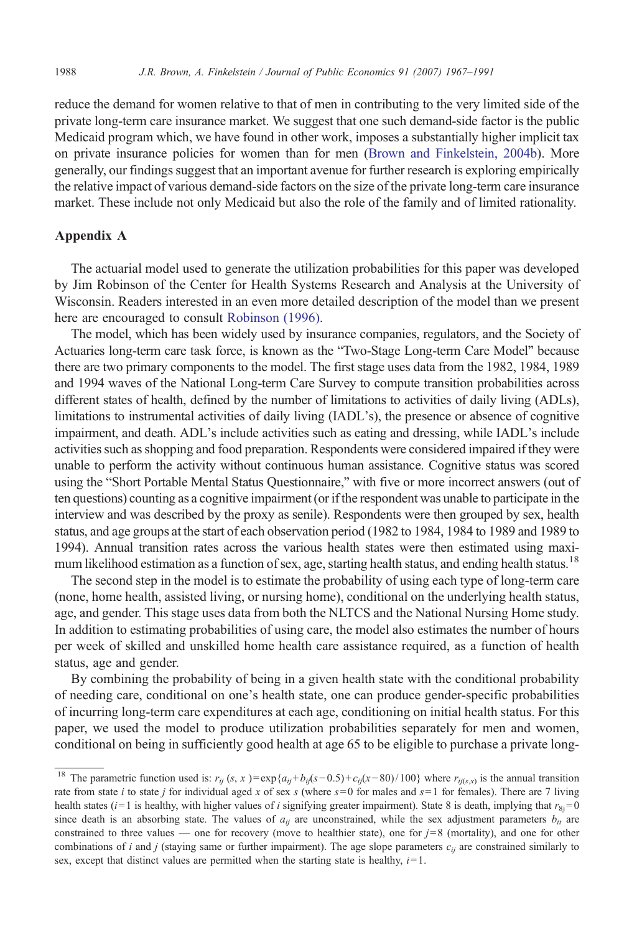reduce the demand for women relative to that of men in contributing to the very limited side of the private long-term care insurance market. We suggest that one such demand-side factor is the public Medicaid program which, we have found in other work, imposes a substantially higher implicit tax on private insurance policies for women than for men ([Brown and Finkelstein, 2004b\)](#page-22-0). More generally, our findings suggest that an important avenue for further research is exploring empirically the relative impact of various demand-side factors on the size of the private long-term care insurance market. These include not only Medicaid but also the role of the family and of limited rationality.

### Appendix A

The actuarial model used to generate the utilization probabilities for this paper was developed by Jim Robinson of the Center for Health Systems Research and Analysis at the University of Wisconsin. Readers interested in an even more detailed description of the model than we present here are encouraged to consult [Robinson \(1996\)](#page-24-0).

The model, which has been widely used by insurance companies, regulators, and the Society of Actuaries long-term care task force, is known as the "Two-Stage Long-term Care Model" because there are two primary components to the model. The first stage uses data from the 1982, 1984, 1989 and 1994 waves of the National Long-term Care Survey to compute transition probabilities across different states of health, defined by the number of limitations to activities of daily living (ADLs), limitations to instrumental activities of daily living (IADL's), the presence or absence of cognitive impairment, and death. ADL's include activities such as eating and dressing, while IADL's include activities such as shopping and food preparation. Respondents were considered impaired if they were unable to perform the activity without continuous human assistance. Cognitive status was scored using the "Short Portable Mental Status Questionnaire," with five or more incorrect answers (out of ten questions) counting as a cognitive impairment (or if the respondent was unable to participate in the interview and was described by the proxy as senile). Respondents were then grouped by sex, health status, and age groups at the start of each observation period (1982 to 1984, 1984 to 1989 and 1989 to 1994). Annual transition rates across the various health states were then estimated using maximum likelihood estimation as a function of sex, age, starting health status, and ending health status.<sup>18</sup>

The second step in the model is to estimate the probability of using each type of long-term care (none, home health, assisted living, or nursing home), conditional on the underlying health status, age, and gender. This stage uses data from both the NLTCS and the National Nursing Home study. In addition to estimating probabilities of using care, the model also estimates the number of hours per week of skilled and unskilled home health care assistance required, as a function of health status, age and gender.

By combining the probability of being in a given health state with the conditional probability of needing care, conditional on one's health state, one can produce gender-specific probabilities of incurring long-term care expenditures at each age, conditioning on initial health status. For this paper, we used the model to produce utilization probabilities separately for men and women, conditional on being in sufficiently good health at age 65 to be eligible to purchase a private long-

<sup>&</sup>lt;sup>18</sup> The parametric function used is:  $r_{ij}$  (s, x ) = exp{ $a_{ij}$ + $b_{ij}(s-0.5)$ + $c_{ij}(x-80)/100$ } where  $r_{ij(s,x)}$  is the annual transition rate from state i to state j for individual aged x of sex s (where  $s=0$  for males and  $s=1$  for females). There are 7 living health states ( $i=1$  is healthy, with higher values of i signifying greater impairment). State 8 is death, implying that  $r_{8i}=0$ since death is an absorbing state. The values of  $a_{ii}$  are unconstrained, while the sex adjustment parameters  $b_{ii}$  are constrained to three values — one for recovery (move to healthier state), one for  $j=8$  (mortality), and one for other combinations of i and j (staying same or further impairment). The age slope parameters  $c_{ii}$  are constrained similarly to sex, except that distinct values are permitted when the starting state is healthy,  $i=1$ .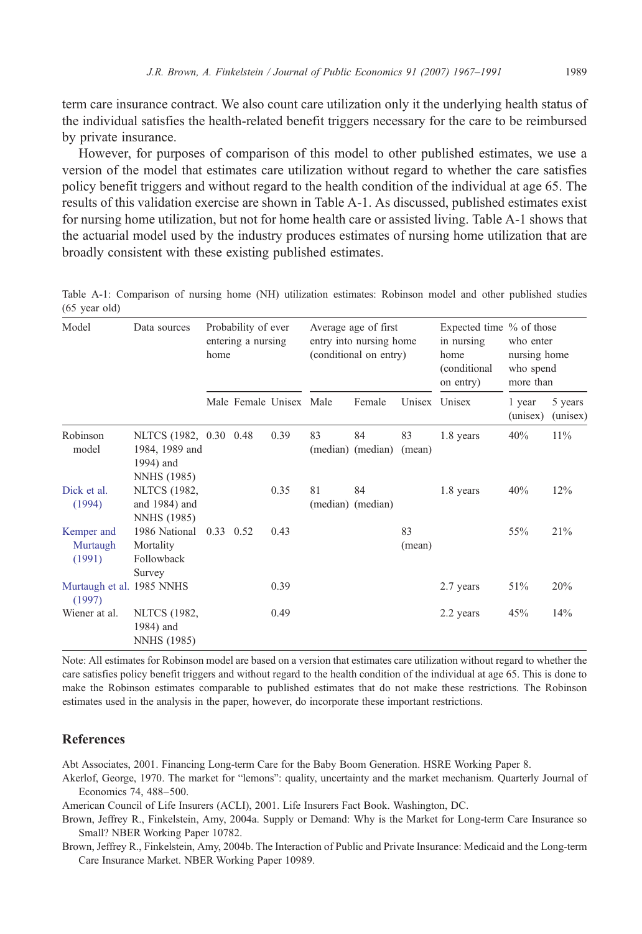<span id="page-22-0"></span>term care insurance contract. We also count care utilization only it the underlying health status of the individual satisfies the health-related benefit triggers necessary for the care to be reimbursed by private insurance.

However, for purposes of comparison of this model to other published estimates, we use a version of the model that estimates care utilization without regard to whether the care satisfies policy benefit triggers and without regard to the health condition of the individual at age 65. The results of this validation exercise are shown in Table A-1. As discussed, published estimates exist for nursing home utilization, but not for home health care or assisted living. Table A-1 shows that the actuarial model used by the industry produces estimates of nursing home utilization that are broadly consistent with these existing published estimates.

Table A-1: Comparison of nursing home (NH) utilization estimates: Robinson model and other published studies  $(65 \text{ year old})$ 

| Model                               | Data sources                                                                 | Probability of ever<br>entering a nursing<br>home |  | Average age of first<br>entry into nursing home<br>(conditional on entry) |    |                                | Expected time % of those<br>in nursing<br>home<br>(conditional)<br>on entry) | who enter<br>nursing home<br>who spend<br>more than |                    |                     |
|-------------------------------------|------------------------------------------------------------------------------|---------------------------------------------------|--|---------------------------------------------------------------------------|----|--------------------------------|------------------------------------------------------------------------------|-----------------------------------------------------|--------------------|---------------------|
|                                     |                                                                              |                                                   |  | Male Female Unisex Male                                                   |    | Female                         |                                                                              | Unisex Unisex                                       | 1 year<br>(unisex) | 5 years<br>(unisex) |
| Robinson<br>model                   | NLTCS (1982, 0.30 0.48)<br>1984, 1989 and<br>1994) and<br><b>NNHS</b> (1985) |                                                   |  | 0.39                                                                      | 83 | 84<br>(median) (median) (mean) | 83                                                                           | 1.8 years                                           | 40%                | $11\%$              |
| Dick et al.<br>(1994)               | <b>NLTCS</b> (1982,<br>and 1984) and<br><b>NNHS (1985)</b>                   |                                                   |  | 0.35                                                                      | 81 | 84<br>(median) (median)        |                                                                              | 1.8 years                                           | 40%                | 12%                 |
| Kemper and<br>Murtaugh<br>(1991)    | 1986 National 0.33 0.52<br>Mortality<br>Followback<br>Survey                 |                                                   |  | 0.43                                                                      |    |                                | 83<br>(mean)                                                                 |                                                     | 55%                | 21%                 |
| Murtaugh et al. 1985 NNHS<br>(1997) |                                                                              |                                                   |  | 0.39                                                                      |    |                                |                                                                              | 2.7 years                                           | 51%                | 20%                 |
| Wiener at al.                       | <b>NLTCS</b> (1982,<br>1984) and<br><b>NNHS</b> (1985)                       |                                                   |  | 0.49                                                                      |    |                                |                                                                              | 2.2 years                                           | 45%                | 14%                 |

Note: All estimates for Robinson model are based on a version that estimates care utilization without regard to whether the care satisfies policy benefit triggers and without regard to the health condition of the individual at age 65. This is done to make the Robinson estimates comparable to published estimates that do not make these restrictions. The Robinson estimates used in the analysis in the paper, however, do incorporate these important restrictions.

# References

Abt Associates, 2001. Financing Long-term Care for the Baby Boom Generation. HSRE Working Paper 8.

Akerlof, George, 1970. The market for "lemons": quality, uncertainty and the market mechanism. Quarterly Journal of Economics 74, 488–500.

American Council of Life Insurers (ACLI), 2001. Life Insurers Fact Book. Washington, DC.

- Brown, Jeffrey R., Finkelstein, Amy, 2004a. Supply or Demand: Why is the Market for Long-term Care Insurance so Small? NBER Working Paper 10782.
- Brown, Jeffrey R., Finkelstein, Amy, 2004b. The Interaction of Public and Private Insurance: Medicaid and the Long-term Care Insurance Market. NBER Working Paper 10989.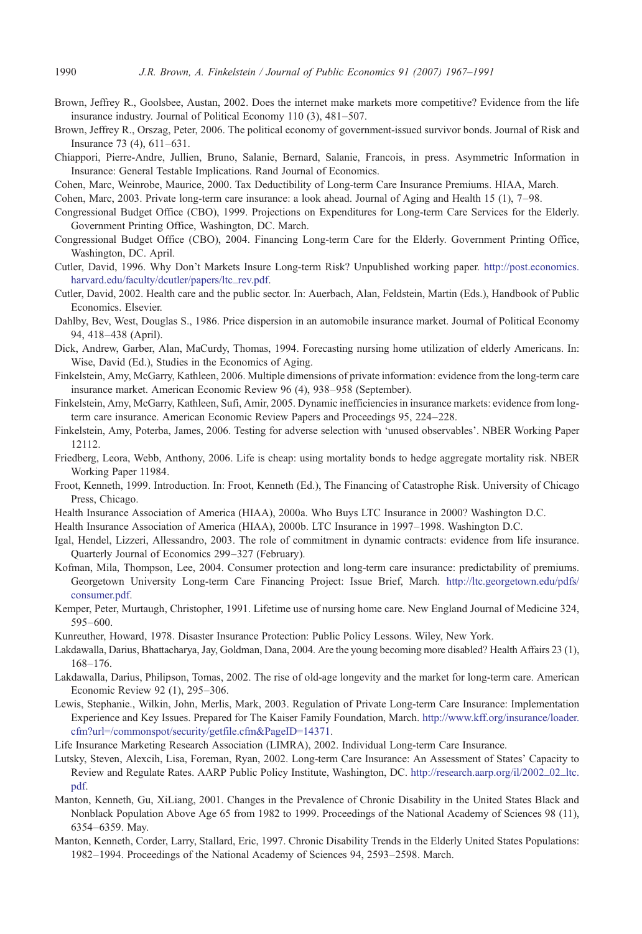- <span id="page-23-0"></span>Brown, Jeffrey R., Goolsbee, Austan, 2002. Does the internet make markets more competitive? Evidence from the life insurance industry. Journal of Political Economy 110 (3), 481–507.
- Brown, Jeffrey R., Orszag, Peter, 2006. The political economy of government-issued survivor bonds. Journal of Risk and Insurance 73 (4), 611–631.
- Chiappori, Pierre-Andre, Jullien, Bruno, Salanie, Bernard, Salanie, Francois, in press. Asymmetric Information in Insurance: General Testable Implications. Rand Journal of Economics.
- Cohen, Marc, Weinrobe, Maurice, 2000. Tax Deductibility of Long-term Care Insurance Premiums. HIAA, March.

Cohen, Marc, 2003. Private long-term care insurance: a look ahead. Journal of Aging and Health 15 (1), 7–98.

- Congressional Budget Office (CBO), 1999. Projections on Expenditures for Long-term Care Services for the Elderly. Government Printing Office, Washington, DC. March.
- Congressional Budget Office (CBO), 2004. Financing Long-term Care for the Elderly. Government Printing Office, Washington, DC. April.
- Cutler, David, 1996. Why Don't Markets Insure Long-term Risk? Unpublished working paper. [http://post.economics.](http://post.economics.harvard.edu/faculty/dcutler/papers/ltc_rev.pdf) [harvard.edu/faculty/dcutler/papers/ltc\\_rev.pdf.](http://post.economics.harvard.edu/faculty/dcutler/papers/ltc_rev.pdf)
- Cutler, David, 2002. Health care and the public sector. In: Auerbach, Alan, Feldstein, Martin (Eds.), Handbook of Public Economics. Elsevier.
- Dahlby, Bev, West, Douglas S., 1986. Price dispersion in an automobile insurance market. Journal of Political Economy 94, 418–438 (April).
- Dick, Andrew, Garber, Alan, MaCurdy, Thomas, 1994. Forecasting nursing home utilization of elderly Americans. In: Wise, David (Ed.), Studies in the Economics of Aging.
- Finkelstein, Amy, McGarry, Kathleen, 2006. Multiple dimensions of private information: evidence from the long-term care insurance market. American Economic Review 96 (4), 938–958 (September).
- Finkelstein, Amy, McGarry, Kathleen, Sufi, Amir, 2005. Dynamic inefficiencies in insurance markets: evidence from longterm care insurance. American Economic Review Papers and Proceedings 95, 224–228.
- Finkelstein, Amy, Poterba, James, 2006. Testing for adverse selection with 'unused observables'. NBER Working Paper 12112.
- Friedberg, Leora, Webb, Anthony, 2006. Life is cheap: using mortality bonds to hedge aggregate mortality risk. NBER Working Paper 11984.
- Froot, Kenneth, 1999. Introduction. In: Froot, Kenneth (Ed.), The Financing of Catastrophe Risk. University of Chicago Press, Chicago.
- Health Insurance Association of America (HIAA), 2000a. Who Buys LTC Insurance in 2000? Washington D.C.
- Health Insurance Association of America (HIAA), 2000b. LTC Insurance in 1997–1998. Washington D.C.
- Igal, Hendel, Lizzeri, Allessandro, 2003. The role of commitment in dynamic contracts: evidence from life insurance. Quarterly Journal of Economics 299–327 (February).
- Kofman, Mila, Thompson, Lee, 2004. Consumer protection and long-term care insurance: predictability of premiums. Georgetown University Long-term Care Financing Project: Issue Brief, March. [http://ltc.georgetown.edu/pdfs/](http://ltc.georgetown.edu/pdfs/consumer.pdf) [consumer.pdf](http://ltc.georgetown.edu/pdfs/consumer.pdf).
- Kemper, Peter, Murtaugh, Christopher, 1991. Lifetime use of nursing home care. New England Journal of Medicine 324, 595–600.
- Kunreuther, Howard, 1978. Disaster Insurance Protection: Public Policy Lessons. Wiley, New York.
- Lakdawalla, Darius, Bhattacharya, Jay, Goldman, Dana, 2004. Are the young becoming more disabled? Health Affairs 23 (1), 168–176.
- Lakdawalla, Darius, Philipson, Tomas, 2002. The rise of old-age longevity and the market for long-term care. American Economic Review 92 (1), 295–306.
- Lewis, Stephanie., Wilkin, John, Merlis, Mark, 2003. Regulation of Private Long-term Care Insurance: Implementation Experience and Key Issues. Prepared for The Kaiser Family Foundation, March. [http://www.kff.org/insurance/loader.](http://www.kff.org/insurance/loader.cfm?url=/commonspot/security/getfile.cfm&PageID=14371) [cfm?url=/commonspot/security/getfile.cfm&PageID=14371.](http://www.kff.org/insurance/loader.cfm?url=/commonspot/security/getfile.cfm&PageID=14371)
- Life Insurance Marketing Research Association (LIMRA), 2002. Individual Long-term Care Insurance.
- Lutsky, Steven, Alexcih, Lisa, Foreman, Ryan, 2002. Long-term Care Insurance: An Assessment of States' Capacity to Review and Regulate Rates. AARP Public Policy Institute, Washington, DC. [http://research.aarp.org/il/2002\\_02\\_ltc.](http://research.aarp.org/il/2002_02_ltc.pdf) [pdf](http://research.aarp.org/il/2002_02_ltc.pdf).
- Manton, Kenneth, Gu, XiLiang, 2001. Changes in the Prevalence of Chronic Disability in the United States Black and Nonblack Population Above Age 65 from 1982 to 1999. Proceedings of the National Academy of Sciences 98 (11), 6354–6359. May.
- Manton, Kenneth, Corder, Larry, Stallard, Eric, 1997. Chronic Disability Trends in the Elderly United States Populations: 1982–1994. Proceedings of the National Academy of Sciences 94, 2593–2598. March.